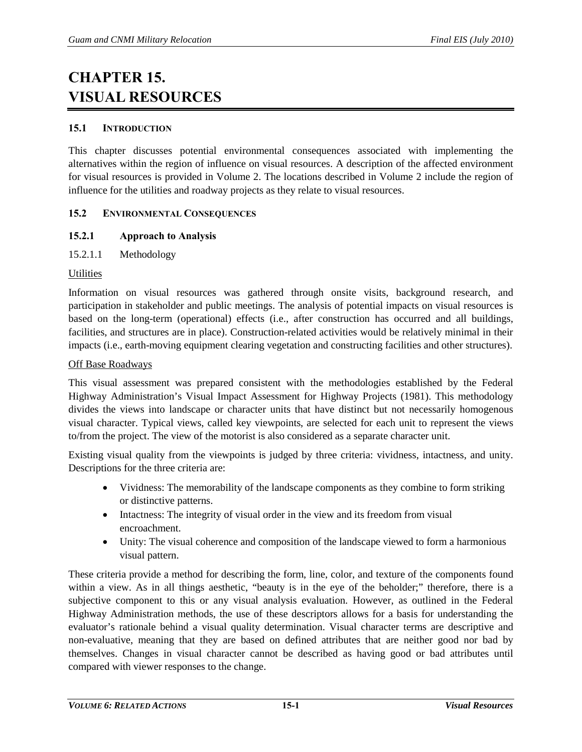# **CHAPTER 15. VISUAL RESOURCES**

## **15.1 INTRODUCTION**

This chapter discusses potential environmental consequences associated with implementing the alternatives within the region of influence on visual resources. A description of the affected environment for visual resources is provided in Volume 2. The locations described in Volume 2 include the region of influence for the utilities and roadway projects as they relate to visual resources.

# **15.2 ENVIRONMENTAL CONSEQUENCES**

# **15.2.1 Approach to Analysis**

15.2.1.1 Methodology

## **Utilities**

Information on visual resources was gathered through onsite visits, background research, and participation in stakeholder and public meetings. The analysis of potential impacts on visual resources is based on the long-term (operational) effects (i.e., after construction has occurred and all buildings, facilities, and structures are in place). Construction-related activities would be relatively minimal in their impacts (i.e., earth-moving equipment clearing vegetation and constructing facilities and other structures).

## Off Base Roadways

This visual assessment was prepared consistent with the methodologies established by the Federal Highway Administration's Visual Impact Assessment for Highway Projects (1981). This methodology divides the views into landscape or character units that have distinct but not necessarily homogenous visual character. Typical views, called key viewpoints, are selected for each unit to represent the views to/from the project. The view of the motorist is also considered as a separate character unit.

Existing visual quality from the viewpoints is judged by three criteria: vividness, intactness, and unity. Descriptions for the three criteria are:

- Vividness: The memorability of the landscape components as they combine to form striking or distinctive patterns.
- Intactness: The integrity of visual order in the view and its freedom from visual encroachment.
- Unity: The visual coherence and composition of the landscape viewed to form a harmonious visual pattern.

These criteria provide a method for describing the form, line, color, and texture of the components found within a view. As in all things aesthetic, "beauty is in the eye of the beholder;" therefore, there is a subjective component to this or any visual analysis evaluation. However, as outlined in the Federal Highway Administration methods, the use of these descriptors allows for a basis for understanding the evaluator's rationale behind a visual quality determination. Visual character terms are descriptive and non-evaluative, meaning that they are based on defined attributes that are neither good nor bad by themselves. Changes in visual character cannot be described as having good or bad attributes until compared with viewer responses to the change.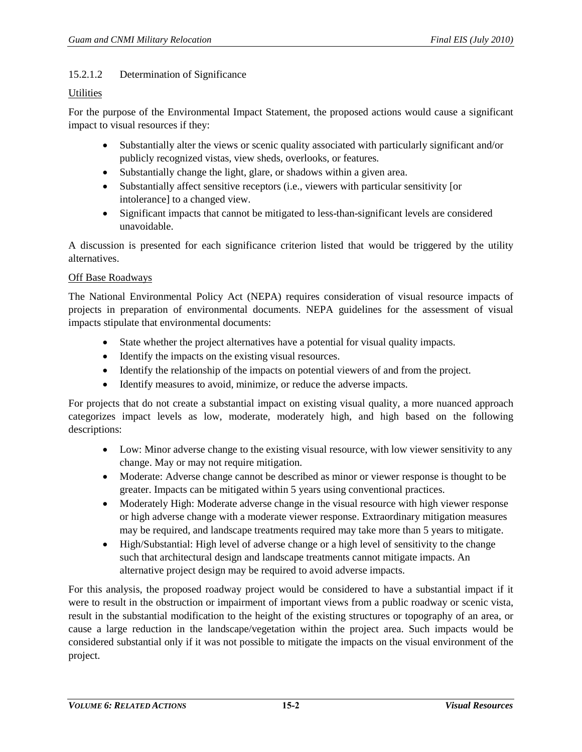## 15.2.1.2 Determination of Significance

## **Utilities**

For the purpose of the Environmental Impact Statement, the proposed actions would cause a significant impact to visual resources if they:

- Substantially alter the views or scenic quality associated with particularly significant and/or publicly recognized vistas, view sheds, overlooks, or features.
- Substantially change the light, glare, or shadows within a given area.
- Substantially affect sensitive receptors (i.e., viewers with particular sensitivity [or intolerance] to a changed view.
- Significant impacts that cannot be mitigated to less-than-significant levels are considered unavoidable.

A discussion is presented for each significance criterion listed that would be triggered by the utility alternatives.

#### Off Base Roadways

The National Environmental Policy Act (NEPA) requires consideration of visual resource impacts of projects in preparation of environmental documents. NEPA guidelines for the assessment of visual impacts stipulate that environmental documents:

- State whether the project alternatives have a potential for visual quality impacts.
- Identify the impacts on the existing visual resources.
- Identify the relationship of the impacts on potential viewers of and from the project.
- Identify measures to avoid, minimize, or reduce the adverse impacts.

For projects that do not create a substantial impact on existing visual quality, a more nuanced approach categorizes impact levels as low, moderate, moderately high, and high based on the following descriptions:

- Low: Minor adverse change to the existing visual resource, with low viewer sensitivity to any change. May or may not require mitigation.
- Moderate: Adverse change cannot be described as minor or viewer response is thought to be greater. Impacts can be mitigated within 5 years using conventional practices.
- Moderately High: Moderate adverse change in the visual resource with high viewer response or high adverse change with a moderate viewer response. Extraordinary mitigation measures may be required, and landscape treatments required may take more than 5 years to mitigate.
- High/Substantial: High level of adverse change or a high level of sensitivity to the change such that architectural design and landscape treatments cannot mitigate impacts. An alternative project design may be required to avoid adverse impacts.

For this analysis, the proposed roadway project would be considered to have a substantial impact if it were to result in the obstruction or impairment of important views from a public roadway or scenic vista, result in the substantial modification to the height of the existing structures or topography of an area, or cause a large reduction in the landscape/vegetation within the project area. Such impacts would be considered substantial only if it was not possible to mitigate the impacts on the visual environment of the project.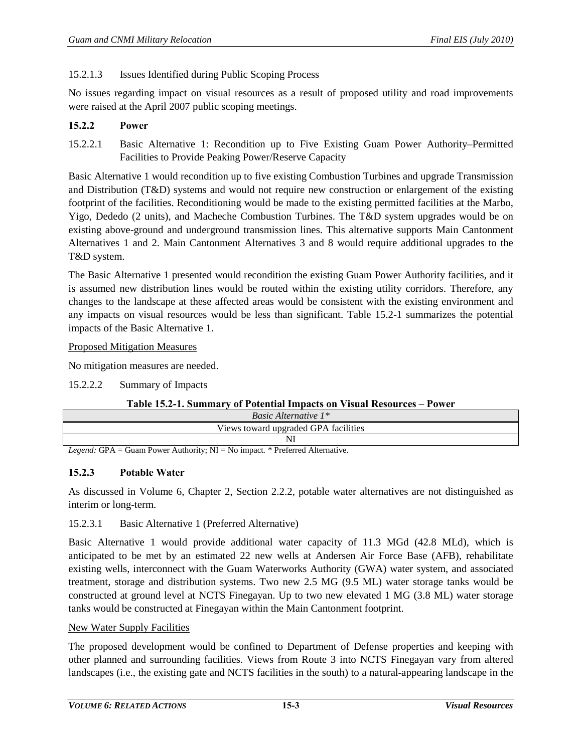# 15.2.1.3 Issues Identified during Public Scoping Process

No issues regarding impact on visual resources as a result of proposed utility and road improvements were raised at the April 2007 public scoping meetings.

## **15.2.2 Power**

15.2.2.1 Basic Alternative 1: Recondition up to Five Existing Guam Power Authority–Permitted Facilities to Provide Peaking Power/Reserve Capacity

Basic Alternative 1 would recondition up to five existing Combustion Turbines and upgrade Transmission and Distribution (T&D) systems and would not require new construction or enlargement of the existing footprint of the facilities. Reconditioning would be made to the existing permitted facilities at the Marbo, Yigo, Dededo (2 units), and Macheche Combustion Turbines. The T&D system upgrades would be on existing above-ground and underground transmission lines. This alternative supports Main Cantonment Alternatives 1 and 2. Main Cantonment Alternatives 3 and 8 would require additional upgrades to the T&D system.

The Basic Alternative 1 presented would recondition the existing Guam Power Authority facilities, and it is assumed new distribution lines would be routed within the existing utility corridors. Therefore, any changes to the landscape at these affected areas would be consistent with the existing environment and any impacts on visual resources would be less than significant. [Table 15.2-1](#page-2-0) summarizes the potential impacts of the Basic Alternative 1.

#### Proposed Mitigation Measures

No mitigation measures are needed.

15.2.2.2 Summary of Impacts

## **Table 15.2-1. Summary of Potential Impacts on Visual Resources – Power**

<span id="page-2-0"></span>

| <i>Basic Alternative</i> $1^*$       |
|--------------------------------------|
| Views toward upgraded GPA facilities |
|                                      |

*Legend:* GPA = Guam Power Authority; NI = No impact*.* \* Preferred Alternative.

## **15.2.3 Potable Water**

As discussed in Volume 6, Chapter 2, Section 2.2.2, potable water alternatives are not distinguished as interim or long-term.

## 15.2.3.1 Basic Alternative 1 (Preferred Alternative)

Basic Alternative 1 would provide additional water capacity of 11.3 MGd (42.8 MLd), which is anticipated to be met by an estimated 22 new wells at Andersen Air Force Base (AFB), rehabilitate existing wells, interconnect with the Guam Waterworks Authority (GWA) water system, and associated treatment, storage and distribution systems. Two new 2.5 MG (9.5 ML) water storage tanks would be constructed at ground level at NCTS Finegayan. Up to two new elevated 1 MG (3.8 ML) water storage tanks would be constructed at Finegayan within the Main Cantonment footprint.

#### New Water Supply Facilities

The proposed development would be confined to Department of Defense properties and keeping with other planned and surrounding facilities. Views from Route 3 into NCTS Finegayan vary from altered landscapes (i.e., the existing gate and NCTS facilities in the south) to a natural-appearing landscape in the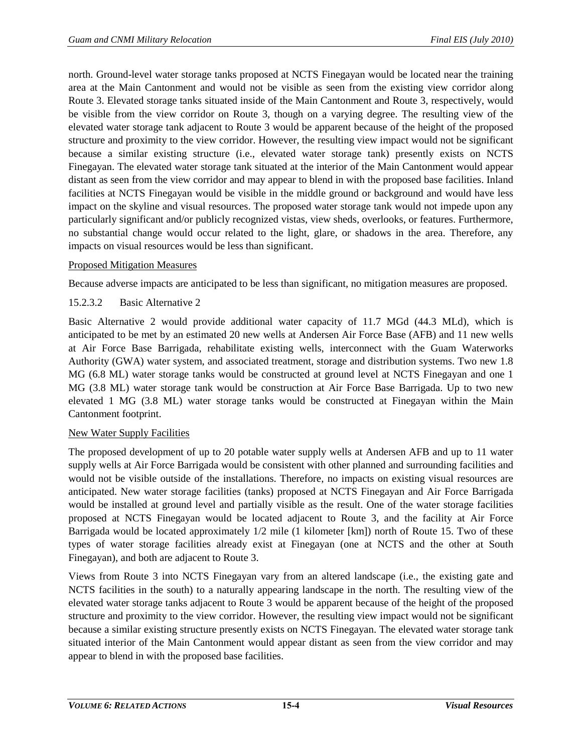north. Ground-level water storage tanks proposed at NCTS Finegayan would be located near the training area at the Main Cantonment and would not be visible as seen from the existing view corridor along Route 3. Elevated storage tanks situated inside of the Main Cantonment and Route 3, respectively, would be visible from the view corridor on Route 3, though on a varying degree. The resulting view of the elevated water storage tank adjacent to Route 3 would be apparent because of the height of the proposed structure and proximity to the view corridor. However, the resulting view impact would not be significant because a similar existing structure (i.e., elevated water storage tank) presently exists on NCTS Finegayan. The elevated water storage tank situated at the interior of the Main Cantonment would appear distant as seen from the view corridor and may appear to blend in with the proposed base facilities. Inland facilities at NCTS Finegayan would be visible in the middle ground or background and would have less impact on the skyline and visual resources. The proposed water storage tank would not impede upon any particularly significant and/or publicly recognized vistas, view sheds, overlooks, or features. Furthermore, no substantial change would occur related to the light, glare, or shadows in the area. Therefore, any impacts on visual resources would be less than significant.

## Proposed Mitigation Measures

Because adverse impacts are anticipated to be less than significant, no mitigation measures are proposed.

## 15.2.3.2 Basic Alternative 2

Basic Alternative 2 would provide additional water capacity of 11.7 MGd (44.3 MLd), which is anticipated to be met by an estimated 20 new wells at Andersen Air Force Base (AFB) and 11 new wells at Air Force Base Barrigada, rehabilitate existing wells, interconnect with the Guam Waterworks Authority (GWA) water system, and associated treatment, storage and distribution systems. Two new 1.8 MG (6.8 ML) water storage tanks would be constructed at ground level at NCTS Finegayan and one 1 MG (3.8 ML) water storage tank would be construction at Air Force Base Barrigada. Up to two new elevated 1 MG (3.8 ML) water storage tanks would be constructed at Finegayan within the Main Cantonment footprint.

## New Water Supply Facilities

The proposed development of up to 20 potable water supply wells at Andersen AFB and up to 11 water supply wells at Air Force Barrigada would be consistent with other planned and surrounding facilities and would not be visible outside of the installations. Therefore, no impacts on existing visual resources are anticipated. New water storage facilities (tanks) proposed at NCTS Finegayan and Air Force Barrigada would be installed at ground level and partially visible as the result. One of the water storage facilities proposed at NCTS Finegayan would be located adjacent to Route 3, and the facility at Air Force Barrigada would be located approximately 1/2 mile (1 kilometer [km]) north of Route 15. Two of these types of water storage facilities already exist at Finegayan (one at NCTS and the other at South Finegayan), and both are adjacent to Route 3.

Views from Route 3 into NCTS Finegayan vary from an altered landscape (i.e., the existing gate and NCTS facilities in the south) to a naturally appearing landscape in the north. The resulting view of the elevated water storage tanks adjacent to Route 3 would be apparent because of the height of the proposed structure and proximity to the view corridor. However, the resulting view impact would not be significant because a similar existing structure presently exists on NCTS Finegayan. The elevated water storage tank situated interior of the Main Cantonment would appear distant as seen from the view corridor and may appear to blend in with the proposed base facilities.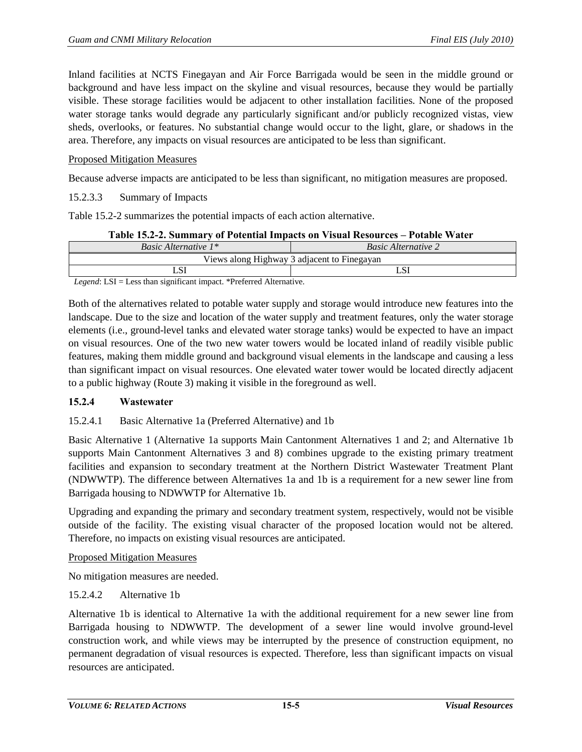Inland facilities at NCTS Finegayan and Air Force Barrigada would be seen in the middle ground or background and have less impact on the skyline and visual resources, because they would be partially visible. These storage facilities would be adjacent to other installation facilities. None of the proposed water storage tanks would degrade any particularly significant and/or publicly recognized vistas, view sheds, overlooks, or features. No substantial change would occur to the light, glare, or shadows in the area. Therefore, any impacts on visual resources are anticipated to be less than significant.

## Proposed Mitigation Measures

Because adverse impacts are anticipated to be less than significant, no mitigation measures are proposed.

#### 15.2.3.3 Summary of Impacts

[Table 15.2-2](#page-4-0) summarizes the potential impacts of each action alternative.

| Table 15.2-2. Summary of Potential Impacts on Visual Resources – Potable Water |  |
|--------------------------------------------------------------------------------|--|
|--------------------------------------------------------------------------------|--|

<span id="page-4-0"></span>

| <i>Basic Alternative 1*</i>                                                                                                                                   | <b>Basic Alternative 2</b>                  |
|---------------------------------------------------------------------------------------------------------------------------------------------------------------|---------------------------------------------|
|                                                                                                                                                               | Views along Highway 3 adjacent to Finegayan |
|                                                                                                                                                               |                                             |
| $\mathbf{r} = \mathbf{r}$ and $\mathbf{r} = \mathbf{r}$ and $\mathbf{r} = \mathbf{r}$ and $\mathbf{r} = \mathbf{r}$ and $\mathbf{r} = \mathbf{r}$<br>$\cdots$ |                                             |

*Legend*: LSI = Less than significant impact. \*Preferred Alternative.

Both of the alternatives related to potable water supply and storage would introduce new features into the landscape. Due to the size and location of the water supply and treatment features, only the water storage elements (i.e., ground-level tanks and elevated water storage tanks) would be expected to have an impact on visual resources. One of the two new water towers would be located inland of readily visible public features, making them middle ground and background visual elements in the landscape and causing a less than significant impact on visual resources. One elevated water tower would be located directly adjacent to a public highway (Route 3) making it visible in the foreground as well.

#### **15.2.4 Wastewater**

## 15.2.4.1 Basic Alternative 1a (Preferred Alternative) and 1b

Basic Alternative 1 (Alternative 1a supports Main Cantonment Alternatives 1 and 2; and Alternative 1b supports Main Cantonment Alternatives 3 and 8) combines upgrade to the existing primary treatment facilities and expansion to secondary treatment at the Northern District Wastewater Treatment Plant (NDWWTP). The difference between Alternatives 1a and 1b is a requirement for a new sewer line from Barrigada housing to NDWWTP for Alternative 1b.

Upgrading and expanding the primary and secondary treatment system, respectively, would not be visible outside of the facility. The existing visual character of the proposed location would not be altered. Therefore, no impacts on existing visual resources are anticipated.

#### Proposed Mitigation Measures

No mitigation measures are needed.

## 15.2.4.2 Alternative 1b

Alternative 1b is identical to Alternative 1a with the additional requirement for a new sewer line from Barrigada housing to NDWWTP. The development of a sewer line would involve ground-level construction work, and while views may be interrupted by the presence of construction equipment, no permanent degradation of visual resources is expected. Therefore, less than significant impacts on visual resources are anticipated.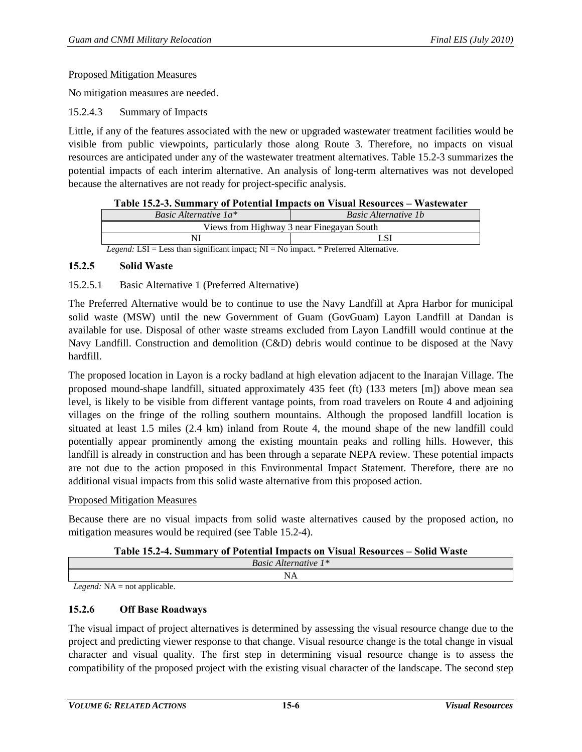#### Proposed Mitigation Measures

No mitigation measures are needed.

15.2.4.3 Summary of Impacts

Little, if any of the features associated with the new or upgraded wastewater treatment facilities would be visible from public viewpoints, particularly those along Route 3. Therefore, no impacts on visual resources are anticipated under any of the wastewater treatment alternatives. [Table 15.2-3](#page-5-0) summarizes the potential impacts of each interim alternative. An analysis of long-term alternatives was not developed because the alternatives are not ready for project-specific analysis.

<span id="page-5-0"></span>

|                                                                                               | Table 15.2-3. Summary of Potential Impacts on Visual Resources – Wastewater |  |  |  |  |  |  |  |
|-----------------------------------------------------------------------------------------------|-----------------------------------------------------------------------------|--|--|--|--|--|--|--|
| Basic Alternative 1a*                                                                         | <b>Basic Alternative 1b</b>                                                 |  |  |  |  |  |  |  |
| Views from Highway 3 near Finegayan South                                                     |                                                                             |  |  |  |  |  |  |  |
| L SI                                                                                          |                                                                             |  |  |  |  |  |  |  |
| <i>Legend:</i> LSI = Less than significant impact; $NI = No$ impact. * Preferred Alternative. |                                                                             |  |  |  |  |  |  |  |

## **15.2.5 Solid Waste**

## 15.2.5.1 Basic Alternative 1 (Preferred Alternative)

The Preferred Alternative would be to continue to use the Navy Landfill at Apra Harbor for municipal solid waste (MSW) until the new Government of Guam (GovGuam) Layon Landfill at Dandan is available for use. Disposal of other waste streams excluded from Layon Landfill would continue at the Navy Landfill. Construction and demolition (C&D) debris would continue to be disposed at the Navy hardfill.

The proposed location in Layon is a rocky badland at high elevation adjacent to the Inarajan Village. The proposed mound-shape landfill, situated approximately 435 feet (ft) (133 meters [m]) above mean sea level, is likely to be visible from different vantage points, from road travelers on Route 4 and adjoining villages on the fringe of the rolling southern mountains. Although the proposed landfill location is situated at least 1.5 miles (2.4 km) inland from Route 4, the mound shape of the new landfill could potentially appear prominently among the existing mountain peaks and rolling hills. However, this landfill is already in construction and has been through a separate NEPA review. These potential impacts are not due to the action proposed in this Environmental Impact Statement. Therefore, there are no additional visual impacts from this solid waste alternative from this proposed action.

#### Proposed Mitigation Measures

Because there are no visual impacts from solid waste alternatives caused by the proposed action, no mitigation measures would be required (see [Table 15.2-4\)](#page-5-1).

| Table 15.2-4. Summary of Potential Impacts on Visual Resources – Solid Waste |  |  |  |
|------------------------------------------------------------------------------|--|--|--|
|------------------------------------------------------------------------------|--|--|--|

<span id="page-5-1"></span>

|                           | $\mathbf{D}_{\alpha\alpha}$ :<br>Alternative 1<br><b>Dasic</b>                       |  |
|---------------------------|--------------------------------------------------------------------------------------|--|
|                           | -<br>the contract of the contract of the contract of the contract of the contract of |  |
| $\cdots$<br>$\cdots$<br>. |                                                                                      |  |

*Legend:* NA = not applicable.

#### **15.2.6 Off Base Roadways**

The visual impact of project alternatives is determined by assessing the visual resource change due to the project and predicting viewer response to that change. Visual resource change is the total change in visual character and visual quality. The first step in determining visual resource change is to assess the compatibility of the proposed project with the existing visual character of the landscape. The second step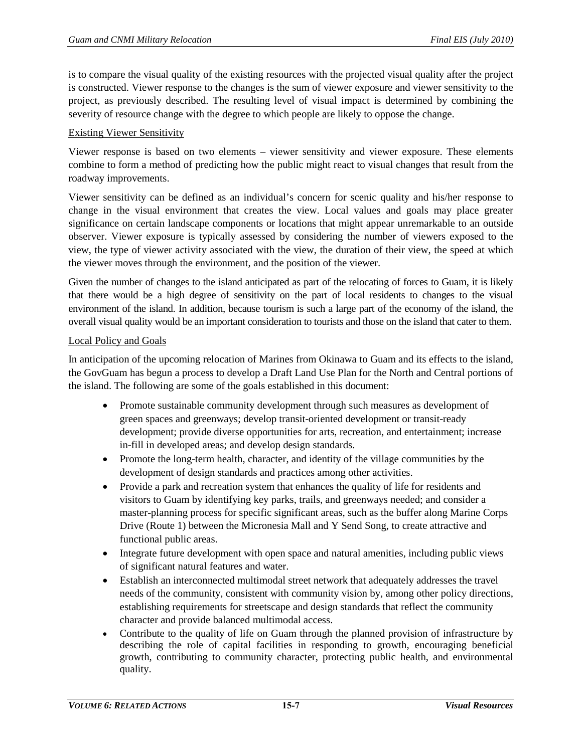is to compare the visual quality of the existing resources with the projected visual quality after the project is constructed. Viewer response to the changes is the sum of viewer exposure and viewer sensitivity to the project, as previously described. The resulting level of visual impact is determined by combining the severity of resource change with the degree to which people are likely to oppose the change.

## Existing Viewer Sensitivity

Viewer response is based on two elements – viewer sensitivity and viewer exposure. These elements combine to form a method of predicting how the public might react to visual changes that result from the roadway improvements.

Viewer sensitivity can be defined as an individual's concern for scenic quality and his/her response to change in the visual environment that creates the view. Local values and goals may place greater significance on certain landscape components or locations that might appear unremarkable to an outside observer. Viewer exposure is typically assessed by considering the number of viewers exposed to the view, the type of viewer activity associated with the view, the duration of their view, the speed at which the viewer moves through the environment, and the position of the viewer.

Given the number of changes to the island anticipated as part of the relocating of forces to Guam, it is likely that there would be a high degree of sensitivity on the part of local residents to changes to the visual environment of the island. In addition, because tourism is such a large part of the economy of the island, the overall visual quality would be an important consideration to tourists and those on the island that cater to them.

## Local Policy and Goals

In anticipation of the upcoming relocation of Marines from Okinawa to Guam and its effects to the island, the GovGuam has begun a process to develop a Draft Land Use Plan for the North and Central portions of the island. The following are some of the goals established in this document:

- Promote sustainable community development through such measures as development of green spaces and greenways; develop transit-oriented development or transit-ready development; provide diverse opportunities for arts, recreation, and entertainment; increase in-fill in developed areas; and develop design standards.
- Promote the long-term health, character, and identity of the village communities by the development of design standards and practices among other activities.
- Provide a park and recreation system that enhances the quality of life for residents and visitors to Guam by identifying key parks, trails, and greenways needed; and consider a master-planning process for specific significant areas, such as the buffer along Marine Corps Drive (Route 1) between the Micronesia Mall and Y Send Song, to create attractive and functional public areas.
- Integrate future development with open space and natural amenities, including public views of significant natural features and water.
- Establish an interconnected multimodal street network that adequately addresses the travel needs of the community, consistent with community vision by, among other policy directions, establishing requirements for streetscape and design standards that reflect the community character and provide balanced multimodal access.
- Contribute to the quality of life on Guam through the planned provision of infrastructure by describing the role of capital facilities in responding to growth, encouraging beneficial growth, contributing to community character, protecting public health, and environmental quality.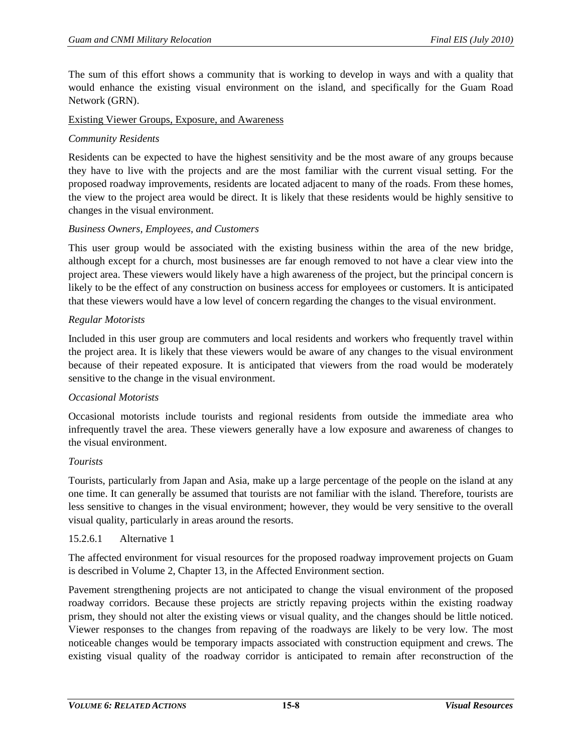The sum of this effort shows a community that is working to develop in ways and with a quality that would enhance the existing visual environment on the island, and specifically for the Guam Road Network (GRN).

## Existing Viewer Groups, Exposure, and Awareness

## *Community Residents*

Residents can be expected to have the highest sensitivity and be the most aware of any groups because they have to live with the projects and are the most familiar with the current visual setting. For the proposed roadway improvements, residents are located adjacent to many of the roads. From these homes, the view to the project area would be direct. It is likely that these residents would be highly sensitive to changes in the visual environment.

#### *Business Owners, Employees, and Customers*

This user group would be associated with the existing business within the area of the new bridge, although except for a church, most businesses are far enough removed to not have a clear view into the project area. These viewers would likely have a high awareness of the project, but the principal concern is likely to be the effect of any construction on business access for employees or customers. It is anticipated that these viewers would have a low level of concern regarding the changes to the visual environment.

#### *Regular Motorists*

Included in this user group are commuters and local residents and workers who frequently travel within the project area. It is likely that these viewers would be aware of any changes to the visual environment because of their repeated exposure. It is anticipated that viewers from the road would be moderately sensitive to the change in the visual environment.

## *Occasional Motorists*

Occasional motorists include tourists and regional residents from outside the immediate area who infrequently travel the area. These viewers generally have a low exposure and awareness of changes to the visual environment.

#### *Tourists*

Tourists, particularly from Japan and Asia, make up a large percentage of the people on the island at any one time. It can generally be assumed that tourists are not familiar with the island. Therefore, tourists are less sensitive to changes in the visual environment; however, they would be very sensitive to the overall visual quality, particularly in areas around the resorts.

#### 15.2.6.1 Alternative 1

The affected environment for visual resources for the proposed roadway improvement projects on Guam is described in Volume 2, Chapter 13, in the Affected Environment section.

Pavement strengthening projects are not anticipated to change the visual environment of the proposed roadway corridors. Because these projects are strictly repaving projects within the existing roadway prism, they should not alter the existing views or visual quality, and the changes should be little noticed. Viewer responses to the changes from repaving of the roadways are likely to be very low. The most noticeable changes would be temporary impacts associated with construction equipment and crews. The existing visual quality of the roadway corridor is anticipated to remain after reconstruction of the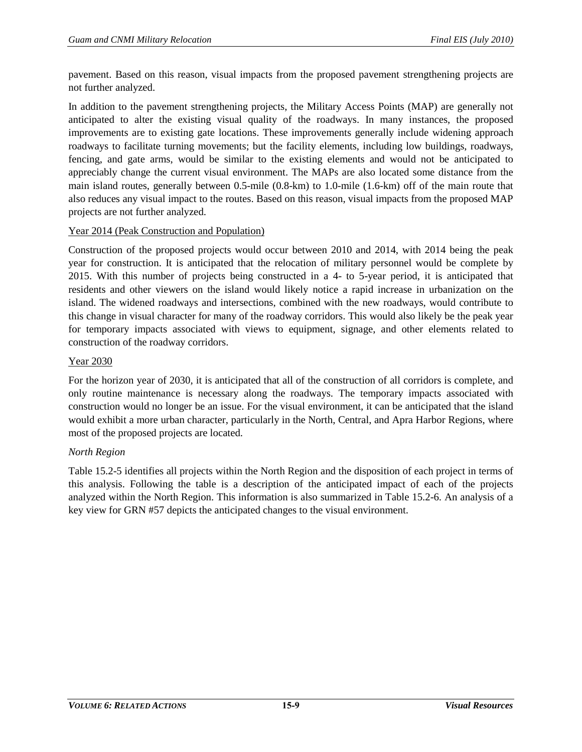pavement. Based on this reason, visual impacts from the proposed pavement strengthening projects are not further analyzed.

In addition to the pavement strengthening projects, the Military Access Points (MAP) are generally not anticipated to alter the existing visual quality of the roadways. In many instances, the proposed improvements are to existing gate locations. These improvements generally include widening approach roadways to facilitate turning movements; but the facility elements, including low buildings, roadways, fencing, and gate arms, would be similar to the existing elements and would not be anticipated to appreciably change the current visual environment. The MAPs are also located some distance from the main island routes, generally between 0.5-mile (0.8-km) to 1.0-mile (1.6-km) off of the main route that also reduces any visual impact to the routes. Based on this reason, visual impacts from the proposed MAP projects are not further analyzed.

# Year 2014 (Peak Construction and Population)

Construction of the proposed projects would occur between 2010 and 2014, with 2014 being the peak year for construction. It is anticipated that the relocation of military personnel would be complete by 2015. With this number of projects being constructed in a 4- to 5-year period, it is anticipated that residents and other viewers on the island would likely notice a rapid increase in urbanization on the island. The widened roadways and intersections, combined with the new roadways, would contribute to this change in visual character for many of the roadway corridors. This would also likely be the peak year for temporary impacts associated with views to equipment, signage, and other elements related to construction of the roadway corridors.

## Year 2030

For the horizon year of 2030, it is anticipated that all of the construction of all corridors is complete, and only routine maintenance is necessary along the roadways. The temporary impacts associated with construction would no longer be an issue. For the visual environment, it can be anticipated that the island would exhibit a more urban character, particularly in the North, Central, and Apra Harbor Regions, where most of the proposed projects are located.

## *North Region*

[Table 15.2-5](#page-9-0) identifies all projects within the North Region and the disposition of each project in terms of this analysis. Following the table is a description of the anticipated impact of each of the projects analyzed within the North Region. This information is also summarized in [Table 15.2-6.](#page-10-0) An analysis of a key view for GRN #57 depicts the anticipated changes to the visual environment.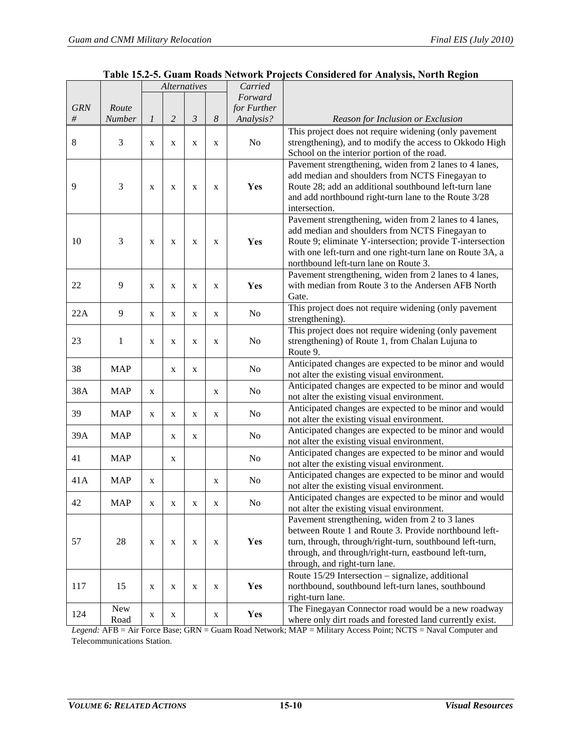<span id="page-9-0"></span>

|            |                    | <b>Alternatives</b> |                | Carried        |   |                                                                                                                                         |                                                                                                                                                                                                                                                                              |
|------------|--------------------|---------------------|----------------|----------------|---|-----------------------------------------------------------------------------------------------------------------------------------------|------------------------------------------------------------------------------------------------------------------------------------------------------------------------------------------------------------------------------------------------------------------------------|
|            |                    |                     |                |                |   | Forward                                                                                                                                 |                                                                                                                                                                                                                                                                              |
| <b>GRN</b> | Route              |                     |                |                |   | for Further                                                                                                                             |                                                                                                                                                                                                                                                                              |
| #          | Number             | 1                   | $\overline{2}$ | $\mathfrak{Z}$ | 8 | Analysis?                                                                                                                               | Reason for Inclusion or Exclusion                                                                                                                                                                                                                                            |
| $\,8$      | 3                  | X                   | $\mathbf{X}$   | X              | X | No                                                                                                                                      | This project does not require widening (only pavement<br>strengthening), and to modify the access to Okkodo High<br>School on the interior portion of the road.                                                                                                              |
| 9          | 3                  | X                   | X              | X              | X | Yes                                                                                                                                     | Pavement strengthening, widen from 2 lanes to 4 lanes,<br>add median and shoulders from NCTS Finegayan to<br>Route 28; add an additional southbound left-turn lane<br>and add northbound right-turn lane to the Route 3/28<br>intersection.                                  |
| 10         | 3                  | X                   | X              | $\mathbf X$    | X | Yes                                                                                                                                     | Pavement strengthening, widen from 2 lanes to 4 lanes,<br>add median and shoulders from NCTS Finegayan to<br>Route 9; eliminate Y-intersection; provide T-intersection<br>with one left-turn and one right-turn lane on Route 3A, a<br>northbound left-turn lane on Route 3. |
| 22         | 9                  | X                   | X              | $\mathbf X$    | X | Yes                                                                                                                                     | Pavement strengthening, widen from 2 lanes to 4 lanes,<br>with median from Route 3 to the Andersen AFB North<br>Gate.                                                                                                                                                        |
| 22A        | 9                  | X                   | $\mathbf{X}$   | X              | X | No                                                                                                                                      | This project does not require widening (only pavement<br>strengthening).                                                                                                                                                                                                     |
| 23         | 1                  | X                   | X              | X              | X | This project does not require widening (only pavement<br>strengthening) of Route 1, from Chalan Lujuna to<br>N <sub>o</sub><br>Route 9. |                                                                                                                                                                                                                                                                              |
| 38         | <b>MAP</b>         |                     | X              | X              |   | Anticipated changes are expected to be minor and would<br>N <sub>o</sub><br>not alter the existing visual environment.                  |                                                                                                                                                                                                                                                                              |
| 38A        | <b>MAP</b>         | X                   |                |                | X | No                                                                                                                                      | Anticipated changes are expected to be minor and would<br>not alter the existing visual environment.                                                                                                                                                                         |
| 39         | <b>MAP</b>         | X                   | X              | X              | X | No                                                                                                                                      | Anticipated changes are expected to be minor and would<br>not alter the existing visual environment.                                                                                                                                                                         |
| 39A        | <b>MAP</b>         |                     | X              | X              |   | No                                                                                                                                      | Anticipated changes are expected to be minor and would<br>not alter the existing visual environment.                                                                                                                                                                         |
| 41         | <b>MAP</b>         |                     | X              |                |   | No                                                                                                                                      | Anticipated changes are expected to be minor and would<br>not alter the existing visual environment.                                                                                                                                                                         |
| 41A        | <b>MAP</b>         | X                   |                |                | X | No                                                                                                                                      | Anticipated changes are expected to be minor and would<br>not alter the existing visual environment.                                                                                                                                                                         |
| 42         | <b>MAP</b>         | X                   | X              | X.             | X | No                                                                                                                                      | Anticipated changes are expected to be minor and would<br>not alter the existing visual environment.                                                                                                                                                                         |
| 57         | 28                 | X                   | X              | X              | X | Yes                                                                                                                                     | Pavement strengthening, widen from 2 to 3 lanes<br>between Route 1 and Route 3. Provide northbound left-<br>turn, through, through/right-turn, southbound left-turn,<br>through, and through/right-turn, eastbound left-turn,<br>through, and right-turn lane.               |
| 117        | 15                 | X                   | X              | X              | X | Yes                                                                                                                                     | Route 15/29 Intersection - signalize, additional<br>northbound, southbound left-turn lanes, southbound<br>right-turn lane.                                                                                                                                                   |
| 124        | <b>New</b><br>Road | X                   | X              |                | X | Yes                                                                                                                                     | The Finegayan Connector road would be a new roadway<br>where only dirt roads and forested land currently exist.                                                                                                                                                              |

| Table 15.2-5. Guam Roads Network Projects Considered for Analysis, North Region |  |  |
|---------------------------------------------------------------------------------|--|--|
|---------------------------------------------------------------------------------|--|--|

*Legend:* AFB = Air Force Base; GRN = Guam Road Network; MAP = Military Access Point; NCTS = Naval Computer and Telecommunications Station.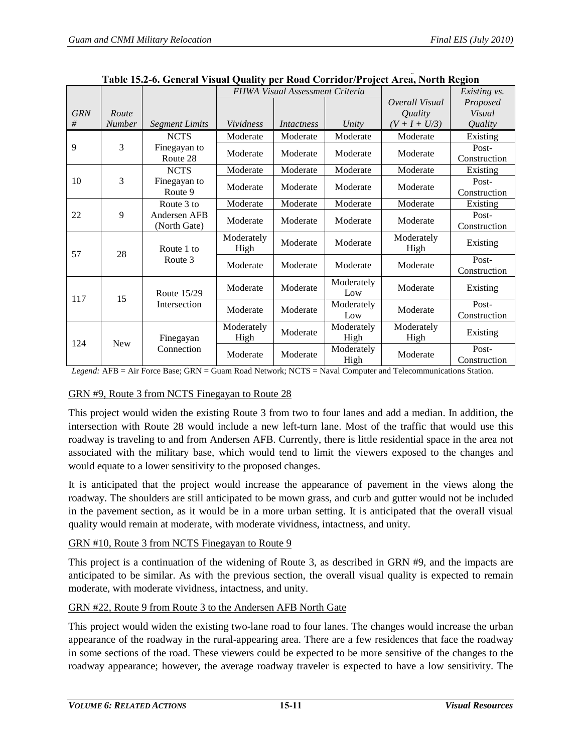<span id="page-10-0"></span>

|            |               |                              |                    | FHWA Visual Assessment Criteria |                    | Existing vs.       |                       |
|------------|---------------|------------------------------|--------------------|---------------------------------|--------------------|--------------------|-----------------------|
|            |               |                              |                    |                                 |                    | Overall Visual     | Proposed              |
| <b>GRN</b> | Route         |                              |                    |                                 |                    | Quality            | Visual                |
| #          | <b>Number</b> | <b>Segment Limits</b>        | Vividness          | Intactness                      | Unity              | $(V + I + U/3)$    | Quality               |
|            |               | <b>NCTS</b>                  | Moderate           | Moderate                        | Moderate           | Moderate           | Existing              |
| 9          | 3             | Finegayan to<br>Route 28     | Moderate           | Moderate                        | Moderate           | Moderate           | Post-<br>Construction |
|            |               | <b>NCTS</b>                  | Moderate           | Moderate                        | Moderate           | Moderate           | Existing              |
| 10         | 3             | Finegayan to<br>Route 9      | Moderate           | Moderate                        | Moderate           | Moderate           | Post-<br>Construction |
|            |               | Route 3 to                   | Moderate           | Moderate                        | Moderate           | Moderate           | Existing              |
| 22         | 9             | Andersen AFB<br>(North Gate) | Moderate           | Moderate                        | Moderate           | Moderate           | Post-<br>Construction |
|            |               | Route 1 to                   | Moderately<br>High | Moderate                        | Moderate           | Moderately<br>High | Existing              |
| 57<br>28   |               | Route 3                      | Moderate           | Moderate                        | Moderate           | Moderate           | Post-<br>Construction |
|            |               | Route 15/29                  | Moderate           | Moderate                        | Moderately<br>Low  | Moderate           | Existing              |
| 15<br>117  |               | Intersection                 | Moderate           | Moderate                        | Moderately<br>Low  | Moderate           | Post-<br>Construction |
| 124        | <b>New</b>    | Finegayan                    | Moderately<br>High | Moderate                        | Moderately<br>High | Moderately<br>High | Existing              |
|            |               | Connection                   | Moderate           | Moderate                        | Moderately<br>High | Moderate           | Post-<br>Construction |

**Table 15.2-6. General Visual Quality per Road Corridor/Project Area, North Region**

*Legend:* AFB = Air Force Base; GRN = Guam Road Network; NCTS = Naval Computer and Telecommunications Station.

# GRN #9, Route 3 from NCTS Finegayan to Route 28

This project would widen the existing Route 3 from two to four lanes and add a median. In addition, the intersection with Route 28 would include a new left-turn lane. Most of the traffic that would use this roadway is traveling to and from Andersen AFB. Currently, there is little residential space in the area not associated with the military base, which would tend to limit the viewers exposed to the changes and would equate to a lower sensitivity to the proposed changes.

It is anticipated that the project would increase the appearance of pavement in the views along the roadway. The shoulders are still anticipated to be mown grass, and curb and gutter would not be included in the pavement section, as it would be in a more urban setting. It is anticipated that the overall visual quality would remain at moderate, with moderate vividness, intactness, and unity.

# GRN #10, Route 3 from NCTS Finegayan to Route 9

This project is a continuation of the widening of Route 3, as described in GRN #9, and the impacts are anticipated to be similar. As with the previous section, the overall visual quality is expected to remain moderate, with moderate vividness, intactness, and unity.

# GRN #22, Route 9 from Route 3 to the Andersen AFB North Gate

This project would widen the existing two-lane road to four lanes. The changes would increase the urban appearance of the roadway in the rural-appearing area. There are a few residences that face the roadway in some sections of the road. These viewers could be expected to be more sensitive of the changes to the roadway appearance; however, the average roadway traveler is expected to have a low sensitivity. The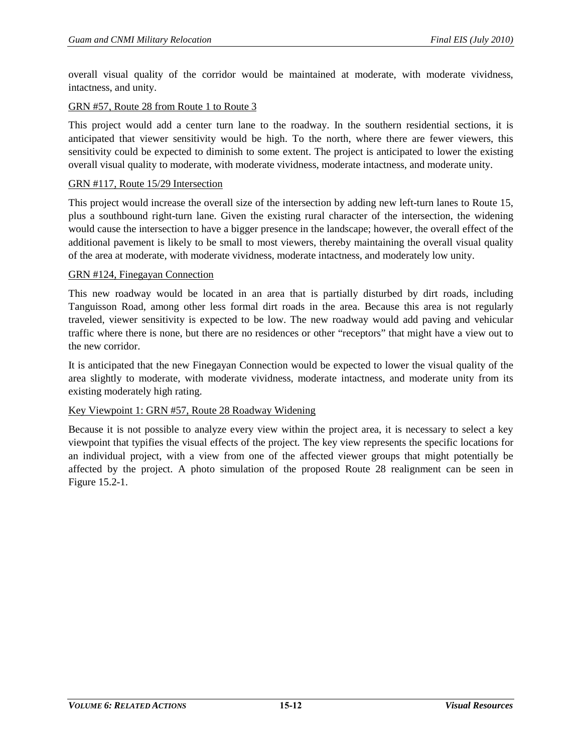overall visual quality of the corridor would be maintained at moderate, with moderate vividness, intactness, and unity.

#### GRN #57, Route 28 from Route 1 to Route 3

This project would add a center turn lane to the roadway. In the southern residential sections, it is anticipated that viewer sensitivity would be high. To the north, where there are fewer viewers, this sensitivity could be expected to diminish to some extent. The project is anticipated to lower the existing overall visual quality to moderate, with moderate vividness, moderate intactness, and moderate unity.

#### GRN #117, Route 15/29 Intersection

This project would increase the overall size of the intersection by adding new left-turn lanes to Route 15, plus a southbound right-turn lane. Given the existing rural character of the intersection, the widening would cause the intersection to have a bigger presence in the landscape; however, the overall effect of the additional pavement is likely to be small to most viewers, thereby maintaining the overall visual quality of the area at moderate, with moderate vividness, moderate intactness, and moderately low unity.

#### GRN #124, Finegayan Connection

This new roadway would be located in an area that is partially disturbed by dirt roads, including Tanguisson Road, among other less formal dirt roads in the area. Because this area is not regularly traveled, viewer sensitivity is expected to be low. The new roadway would add paving and vehicular traffic where there is none, but there are no residences or other "receptors" that might have a view out to the new corridor.

It is anticipated that the new Finegayan Connection would be expected to lower the visual quality of the area slightly to moderate, with moderate vividness, moderate intactness, and moderate unity from its existing moderately high rating.

#### Key Viewpoint 1: GRN #57, Route 28 Roadway Widening

Because it is not possible to analyze every view within the project area, it is necessary to select a key viewpoint that typifies the visual effects of the project. The key view represents the specific locations for an individual project, with a view from one of the affected viewer groups that might potentially be affected by the project. A photo simulation of the proposed Route 28 realignment can be seen in [Figure 15.2-1.](#page-12-0)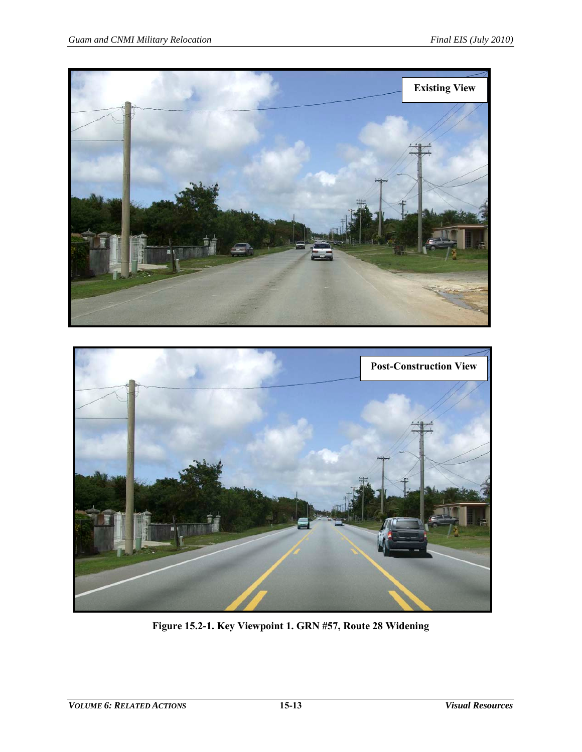

<span id="page-12-0"></span>

**Figure 15.2-1. Key Viewpoint 1. GRN #57, Route 28 Widening**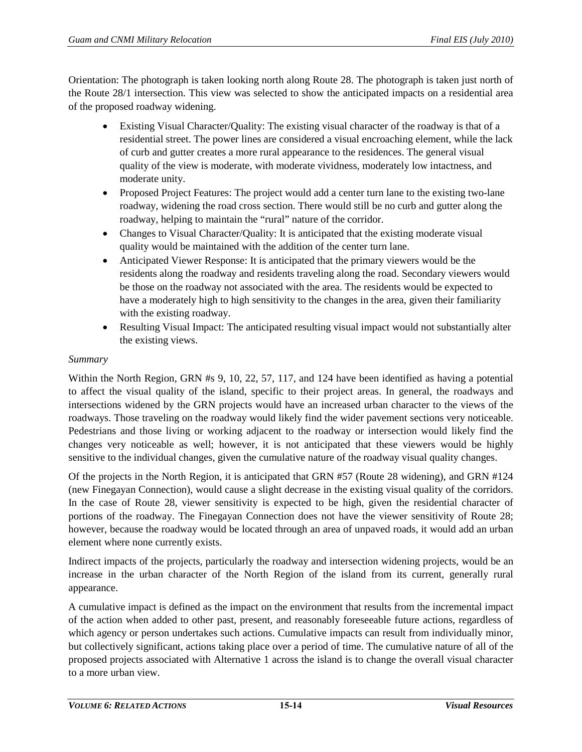Orientation: The photograph is taken looking north along Route 28. The photograph is taken just north of the Route 28/1 intersection. This view was selected to show the anticipated impacts on a residential area of the proposed roadway widening.

- Existing Visual Character/Quality: The existing visual character of the roadway is that of a residential street. The power lines are considered a visual encroaching element, while the lack of curb and gutter creates a more rural appearance to the residences. The general visual quality of the view is moderate, with moderate vividness, moderately low intactness, and moderate unity.
- Proposed Project Features: The project would add a center turn lane to the existing two-lane roadway, widening the road cross section. There would still be no curb and gutter along the roadway, helping to maintain the "rural" nature of the corridor.
- Changes to Visual Character/Quality: It is anticipated that the existing moderate visual quality would be maintained with the addition of the center turn lane.
- Anticipated Viewer Response: It is anticipated that the primary viewers would be the residents along the roadway and residents traveling along the road. Secondary viewers would be those on the roadway not associated with the area. The residents would be expected to have a moderately high to high sensitivity to the changes in the area, given their familiarity with the existing roadway.
- Resulting Visual Impact: The anticipated resulting visual impact would not substantially alter the existing views.

#### *Summary*

Within the North Region, GRN #s 9, 10, 22, 57, 117, and 124 have been identified as having a potential to affect the visual quality of the island, specific to their project areas. In general, the roadways and intersections widened by the GRN projects would have an increased urban character to the views of the roadways. Those traveling on the roadway would likely find the wider pavement sections very noticeable. Pedestrians and those living or working adjacent to the roadway or intersection would likely find the changes very noticeable as well; however, it is not anticipated that these viewers would be highly sensitive to the individual changes, given the cumulative nature of the roadway visual quality changes.

Of the projects in the North Region, it is anticipated that GRN #57 (Route 28 widening), and GRN #124 (new Finegayan Connection), would cause a slight decrease in the existing visual quality of the corridors. In the case of Route 28, viewer sensitivity is expected to be high, given the residential character of portions of the roadway. The Finegayan Connection does not have the viewer sensitivity of Route 28; however, because the roadway would be located through an area of unpaved roads, it would add an urban element where none currently exists.

Indirect impacts of the projects, particularly the roadway and intersection widening projects, would be an increase in the urban character of the North Region of the island from its current, generally rural appearance.

A cumulative impact is defined as the impact on the environment that results from the incremental impact of the action when added to other past, present, and reasonably foreseeable future actions, regardless of which agency or person undertakes such actions. Cumulative impacts can result from individually minor, but collectively significant, actions taking place over a period of time. The cumulative nature of all of the proposed projects associated with Alternative 1 across the island is to change the overall visual character to a more urban view.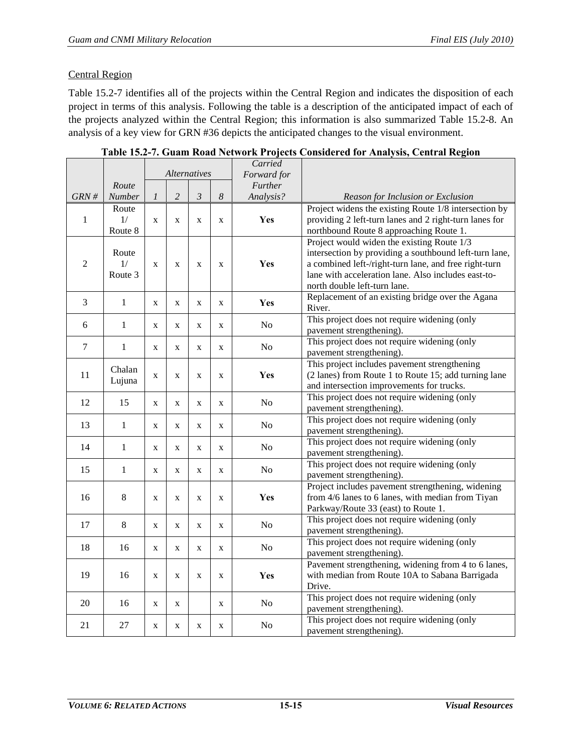# Central Region

[Table 15.2-7](#page-14-0) identifies all of the projects within the Central Region and indicates the disposition of each project in terms of this analysis. Following the table is a description of the anticipated impact of each of the projects analyzed within the Central Region; this information is also summarized [Table 15.2-8.](#page-16-0) An analysis of a key view for GRN #36 depicts the anticipated changes to the visual environment.

<span id="page-14-0"></span>

|                |               | <b>Alternatives</b> |                | Carried<br>Forward for |              |                |                                                                          |
|----------------|---------------|---------------------|----------------|------------------------|--------------|----------------|--------------------------------------------------------------------------|
|                | Route         |                     |                | Further                |              |                |                                                                          |
| GRN#           | <b>Number</b> | $\mathfrak{1}$      | $\overline{c}$ | $\mathfrak{Z}$         | 8            | Analysis?      | Reason for Inclusion or Exclusion                                        |
|                | Route         |                     |                |                        |              |                | Project widens the existing Route 1/8 intersection by                    |
| $\,1$          | 1/            | X                   | $\mathbf{x}$   | X                      | X            | Yes            | providing 2 left-turn lanes and 2 right-turn lanes for                   |
|                | Route 8       |                     |                |                        |              |                | northbound Route 8 approaching Route 1.                                  |
|                |               |                     |                |                        |              |                | Project would widen the existing Route 1/3                               |
|                | Route         |                     |                |                        |              |                | intersection by providing a southbound left-turn lane,                   |
| $\sqrt{2}$     | 1/            | $\mathbf{x}$        | $\mathbf x$    | $\mathbf X$            | $\mathbf{x}$ | Yes            | a combined left-/right-turn lane, and free right-turn                    |
|                | Route 3       |                     |                |                        |              |                | lane with acceleration lane. Also includes east-to-                      |
|                |               |                     |                |                        |              |                | north double left-turn lane.                                             |
| 3              |               |                     |                |                        |              |                | Replacement of an existing bridge over the Agana                         |
|                | $\mathbf{1}$  | X                   | $\mathbf X$    | $\mathbf X$            | X            | Yes            | River.                                                                   |
| 6              | $\mathbf{1}$  | X                   | X              | X                      | X            | No             | This project does not require widening (only                             |
|                |               |                     |                |                        |              |                | pavement strengthening).                                                 |
| $\overline{7}$ | $\mathbf{1}$  | X                   | X              | X                      | X            | No             | This project does not require widening (only                             |
|                |               |                     |                |                        |              |                | pavement strengthening).                                                 |
|                | Chalan        |                     |                |                        |              |                | This project includes pavement strengthening                             |
| 11             | Lujuna        | X                   | X              | $\mathbf X$            | $\mathbf X$  | Yes            | (2 lanes) from Route 1 to Route 15; add turning lane                     |
|                |               |                     |                |                        |              |                | and intersection improvements for trucks.                                |
| 12             | 15            | X                   | X              | X                      | X            | No             | This project does not require widening (only                             |
|                |               |                     |                |                        |              |                | pavement strengthening).                                                 |
| 13             | $\mathbf{1}$  | X                   | X              | $\mathbf x$            | X            | No             | This project does not require widening (only                             |
|                |               |                     |                |                        |              |                | pavement strengthening).                                                 |
| 14             | $\mathbf{1}$  | X                   | X              | X                      | X            | No             | This project does not require widening (only                             |
|                |               |                     |                |                        |              |                | pavement strengthening).                                                 |
| 15             | $\mathbf{1}$  | X                   | $\mathbf X$    | $\mathbf X$            | X            | N <sub>o</sub> | This project does not require widening (only                             |
|                |               |                     |                |                        |              |                | pavement strengthening).                                                 |
|                |               |                     |                |                        |              |                | Project includes pavement strengthening, widening                        |
| 16             | 8             | X                   | $\mathbf X$    | $\mathbf X$            | $\mathbf X$  | Yes            | from 4/6 lanes to 6 lanes, with median from Tiyan                        |
|                |               |                     |                |                        |              |                | Parkway/Route 33 (east) to Route 1.                                      |
| 17             | 8             | X                   | X              | X                      | X            | N <sub>0</sub> | This project does not require widening (only<br>pavement strengthening). |
|                |               |                     |                |                        |              |                | This project does not require widening (only                             |
| 18             | 16            | X                   | X              | $\mathbf X$            | X            | N <sub>o</sub> | pavement strengthening).                                                 |
|                |               |                     |                |                        |              |                | Pavement strengthening, widening from 4 to 6 lanes,                      |
| 19             | 16            | $\mathbf X$         | $\mathbf X$    | $\mathbf X$            | X            | Yes            | with median from Route 10A to Sabana Barrigada                           |
|                |               |                     |                |                        |              |                | Drive.                                                                   |
|                |               |                     |                |                        |              |                | This project does not require widening (only                             |
| 20             | 16            | X                   | X              |                        | X            | N <sub>o</sub> | pavement strengthening).                                                 |
|                |               |                     |                |                        |              |                | This project does not require widening (only                             |
| 21             | 27            | X                   | X              | X                      | X            | N <sub>o</sub> | pavement strengthening).                                                 |

**Table 15.2-7. Guam Road Network Projects Considered for Analysis, Central Region**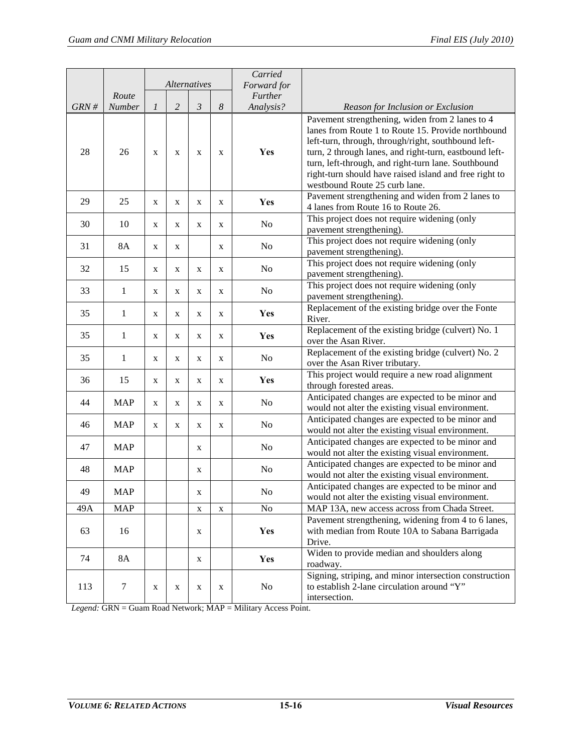|      |              |             | <b>Alternatives</b> |                |                  | Carried<br>Forward for |                                                                                                                                                                                                                                                                                                                                                                          |
|------|--------------|-------------|---------------------|----------------|------------------|------------------------|--------------------------------------------------------------------------------------------------------------------------------------------------------------------------------------------------------------------------------------------------------------------------------------------------------------------------------------------------------------------------|
|      | Route        |             |                     |                |                  | Further                |                                                                                                                                                                                                                                                                                                                                                                          |
| GRN# | Number       | 1           | $\overline{c}$      | $\mathfrak{Z}$ | $\boldsymbol{8}$ | Analysis?              | Reason for Inclusion or Exclusion                                                                                                                                                                                                                                                                                                                                        |
| 28   | 26           | X           | X                   | $\mathbf X$    | X                | Yes                    | Pavement strengthening, widen from 2 lanes to 4<br>lanes from Route 1 to Route 15. Provide northbound<br>left-turn, through, through/right, southbound left-<br>turn, 2 through lanes, and right-turn, eastbound left-<br>turn, left-through, and right-turn lane. Southbound<br>right-turn should have raised island and free right to<br>westbound Route 25 curb lane. |
| 29   | 25           | X           | X                   | $\mathbf X$    | X                | Yes                    | Pavement strengthening and widen from 2 lanes to<br>4 lanes from Route 16 to Route 26.                                                                                                                                                                                                                                                                                   |
| 30   | 10           | X           | X                   | $\mathbf X$    | X                | No                     | This project does not require widening (only<br>pavement strengthening).                                                                                                                                                                                                                                                                                                 |
| 31   | <b>8A</b>    | X           | X                   |                | X                | No                     | This project does not require widening (only<br>pavement strengthening).                                                                                                                                                                                                                                                                                                 |
| 32   | 15           | X           | X                   | $\mathbf X$    | X                | No                     | This project does not require widening (only<br>pavement strengthening).                                                                                                                                                                                                                                                                                                 |
| 33   | 1            | X           | X                   | $\mathbf X$    | X                | No                     | This project does not require widening (only<br>pavement strengthening).                                                                                                                                                                                                                                                                                                 |
| 35   | $\mathbf{1}$ | $\mathbf X$ | X                   | $\mathbf X$    | X                | Yes                    | Replacement of the existing bridge over the Fonte<br>River.                                                                                                                                                                                                                                                                                                              |
| 35   | $\mathbf{1}$ | X           | X                   | $\mathbf X$    | X                | Yes                    | Replacement of the existing bridge (culvert) No. 1<br>over the Asan River.                                                                                                                                                                                                                                                                                               |
| 35   | $\mathbf{1}$ | X           | X                   | X              | X                | No                     | Replacement of the existing bridge (culvert) No. 2<br>over the Asan River tributary.                                                                                                                                                                                                                                                                                     |
| 36   | 15           | X           | X                   | X              | X                | Yes                    | This project would require a new road alignment<br>through forested areas.                                                                                                                                                                                                                                                                                               |
| 44   | <b>MAP</b>   | X           | X                   | $\mathbf X$    | X                | No                     | Anticipated changes are expected to be minor and<br>would not alter the existing visual environment.                                                                                                                                                                                                                                                                     |
| 46   | <b>MAP</b>   | X           | X                   | X              | X                | No                     | Anticipated changes are expected to be minor and<br>would not alter the existing visual environment.                                                                                                                                                                                                                                                                     |
| 47   | <b>MAP</b>   |             |                     | X              |                  | No                     | Anticipated changes are expected to be minor and<br>would not alter the existing visual environment.                                                                                                                                                                                                                                                                     |
| 48   | <b>MAP</b>   |             |                     | X              |                  | No                     | Anticipated changes are expected to be minor and<br>would not alter the existing visual environment.                                                                                                                                                                                                                                                                     |
| 49   | <b>MAP</b>   |             |                     | X              |                  | No                     | Anticipated changes are expected to be minor and<br>would not alter the existing visual environment.                                                                                                                                                                                                                                                                     |
| 49A  | <b>MAP</b>   |             |                     | X              | $\mathbf X$      | No                     | MAP 13A, new access across from Chada Street.                                                                                                                                                                                                                                                                                                                            |
| 63   | 16           |             |                     | X              |                  | Yes                    | Pavement strengthening, widening from 4 to 6 lanes,<br>with median from Route 10A to Sabana Barrigada<br>Drive.                                                                                                                                                                                                                                                          |
| 74   | <b>8A</b>    |             |                     | X              |                  | Yes                    | Widen to provide median and shoulders along<br>roadway.                                                                                                                                                                                                                                                                                                                  |
| 113  | 7            | X           | X                   | X              | X                | No                     | Signing, striping, and minor intersection construction<br>to establish 2-lane circulation around "Y"<br>intersection.                                                                                                                                                                                                                                                    |

*Legend:* GRN = Guam Road Network; MAP = Military Access Point.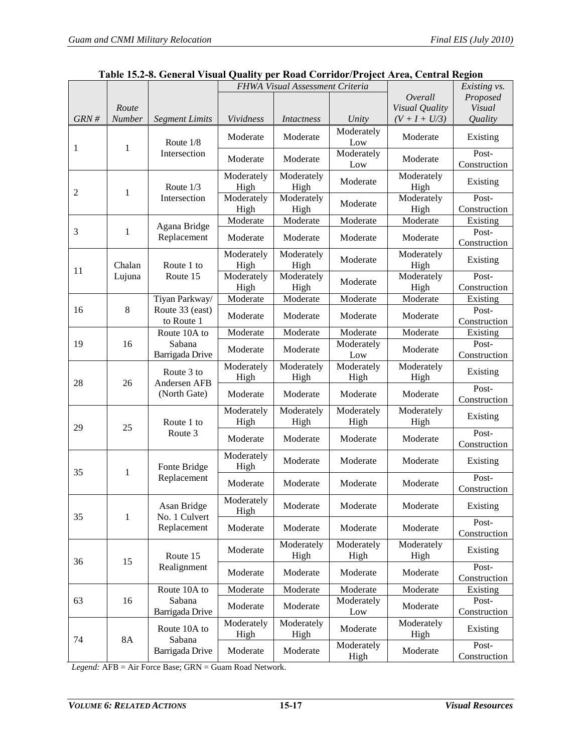<span id="page-16-0"></span>

|      |                 |                               | FHWA Visual Assessment Criteria |                    |                    |                    | Existing vs.          |
|------|-----------------|-------------------------------|---------------------------------|--------------------|--------------------|--------------------|-----------------------|
|      |                 |                               |                                 |                    |                    | Overall            | Proposed              |
| GRN# | Route<br>Number |                               | Vividness                       |                    | Unity              | Visual Quality     | Visual<br>Quality     |
|      |                 | <b>Segment Limits</b>         |                                 | Intactness         | Moderately         | $(V + I + U/3)$    |                       |
| 1    | 1               | Route $1/8$                   | Moderate                        | Moderate           | Low                | Moderate           | Existing              |
|      |                 | Intersection                  | Moderate                        | Moderate           | Moderately<br>Low  | Moderate           | Post-<br>Construction |
| 2    | 1               | Route $1/3$                   | Moderately<br>High              | Moderately<br>High | Moderate           | Moderately<br>High | Existing              |
|      |                 | Intersection                  | Moderately<br>High              | Moderately<br>High | Moderate           | Moderately<br>High | Post-<br>Construction |
|      |                 | Agana Bridge                  | Moderate                        | Moderate           | Moderate           | Moderate           | Existing              |
| 3    | 1               | Replacement                   | Moderate                        | Moderate           | Moderate           | Moderate           | Post-<br>Construction |
| 11   | Chalan          | Route 1 to                    | Moderately<br>High              | Moderately<br>High | Moderate           | Moderately<br>High | Existing              |
|      | Lujuna          | Route 15                      | Moderately<br>High              | Moderately<br>High | Moderate           | Moderately<br>High | Post-<br>Construction |
|      |                 | Tiyan Parkway/                | Moderate                        | Moderate           | Moderate           | Moderate           | Existing              |
| 16   | 8               | Route 33 (east)<br>to Route 1 | Moderate                        | Moderate           | Moderate           | Moderate           | Post-<br>Construction |
|      |                 | Route 10A to                  | Moderate                        | Moderate           | Moderate           | Moderate           | Existing              |
| 19   | 16              | Sabana<br>Barrigada Drive     | Moderate                        | Moderate           | Moderately<br>Low  | Moderate           | Post-<br>Construction |
| 28   | 26              | Route 3 to<br>Andersen AFB    | Moderately<br>High              | Moderately<br>High | Moderately<br>High | Moderately<br>High | Existing              |
|      |                 | (North Gate)                  | Moderate                        | Moderate           | Moderate           | Moderate           | Post-<br>Construction |
| 29   | 25              | Route 1 to                    | Moderately<br>High              | Moderately<br>High | Moderately<br>High | Moderately<br>High | Existing              |
|      |                 | Route 3                       | Moderate                        | Moderate           | Moderate           | Moderate           | Post-<br>Construction |
| 35   | 1               | Fonte Bridge                  | Moderately<br>High              | Moderate           | Moderate           | Moderate           | Existing              |
|      |                 | Replacement                   | Moderate                        | Moderate           | Moderate           | Moderate           | Post-<br>Construction |
| 35   | $\mathbf{1}$    | Asan Bridge<br>No. 1 Culvert  | Moderately<br>High              | Moderate           | Moderate           | Moderate           | Existing              |
|      |                 | Replacement                   | Moderate                        | Moderate           | Moderate           | Moderate           | Post-<br>Construction |
| 36   | 15              | Route 15                      | Moderate                        | Moderately<br>High | Moderately<br>High | Moderately<br>High | Existing              |
|      |                 | Realignment                   | Moderate                        | Moderate           | Moderate           | Moderate           | Post-<br>Construction |
|      |                 | Route 10A to                  | Moderate                        | Moderate           | Moderate           | Moderate           | Existing              |
| 63   | 16              | Sabana<br>Barrigada Drive     | Moderate                        | Moderate           | Moderately<br>Low  | Moderate           | Post-<br>Construction |
| 74   | 8A              | Route 10A to<br>Sabana        | Moderately<br>High              | Moderately<br>High | Moderate           | Moderately<br>High | Existing              |
|      |                 | Barrigada Drive               | Moderate                        | Moderate           | Moderately<br>High | Moderate           | Post-<br>Construction |

| Table 15.2-8. General Visual Quality per Road Corridor/Project Area, Central Region |  |  |  |
|-------------------------------------------------------------------------------------|--|--|--|
|-------------------------------------------------------------------------------------|--|--|--|

*Legend:* AFB = Air Force Base; GRN = Guam Road Network.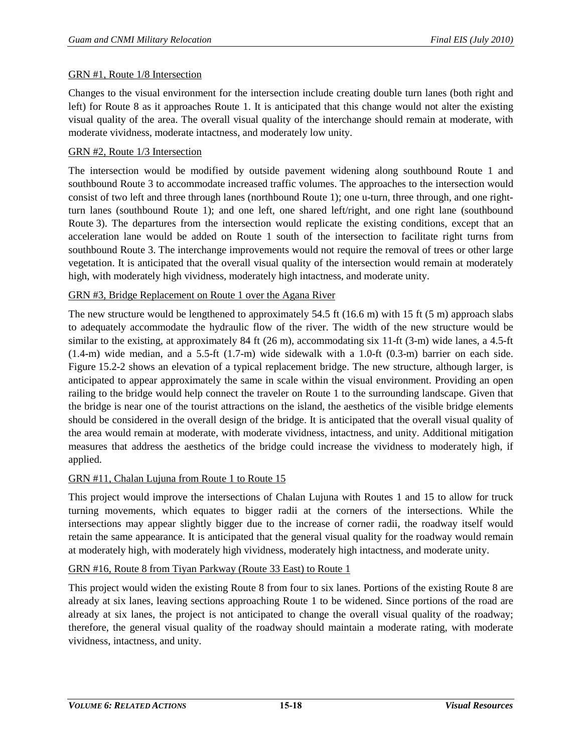## GRN #1, Route 1/8 Intersection

Changes to the visual environment for the intersection include creating double turn lanes (both right and left) for Route 8 as it approaches Route 1. It is anticipated that this change would not alter the existing visual quality of the area. The overall visual quality of the interchange should remain at moderate, with moderate vividness, moderate intactness, and moderately low unity.

## GRN #2, Route 1/3 Intersection

The intersection would be modified by outside pavement widening along southbound Route 1 and southbound Route 3 to accommodate increased traffic volumes. The approaches to the intersection would consist of two left and three through lanes (northbound Route 1); one u-turn, three through, and one rightturn lanes (southbound Route 1); and one left, one shared left/right, and one right lane (southbound Route 3). The departures from the intersection would replicate the existing conditions, except that an acceleration lane would be added on Route 1 south of the intersection to facilitate right turns from southbound Route 3. The interchange improvements would not require the removal of trees or other large vegetation. It is anticipated that the overall visual quality of the intersection would remain at moderately high, with moderately high vividness, moderately high intactness, and moderate unity.

## GRN #3, Bridge Replacement on Route 1 over the Agana River

The new structure would be lengthened to approximately 54.5 ft (16.6 m) with 15 ft (5 m) approach slabs to adequately accommodate the hydraulic flow of the river. The width of the new structure would be similar to the existing, at approximately 84 ft (26 m), accommodating six 11-ft (3-m) wide lanes, a 4.5-ft (1.4-m) wide median, and a 5.5-ft (1.7-m) wide sidewalk with a 1.0-ft (0.3-m) barrier on each side. [Figure 15.2-2](#page-18-0) shows an elevation of a typical replacement bridge. The new structure, although larger, is anticipated to appear approximately the same in scale within the visual environment. Providing an open railing to the bridge would help connect the traveler on Route 1 to the surrounding landscape. Given that the bridge is near one of the tourist attractions on the island, the aesthetics of the visible bridge elements should be considered in the overall design of the bridge. It is anticipated that the overall visual quality of the area would remain at moderate, with moderate vividness, intactness, and unity. Additional mitigation measures that address the aesthetics of the bridge could increase the vividness to moderately high, if applied.

#### GRN #11, Chalan Lujuna from Route 1 to Route 15

This project would improve the intersections of Chalan Lujuna with Routes 1 and 15 to allow for truck turning movements, which equates to bigger radii at the corners of the intersections. While the intersections may appear slightly bigger due to the increase of corner radii, the roadway itself would retain the same appearance. It is anticipated that the general visual quality for the roadway would remain at moderately high, with moderately high vividness, moderately high intactness, and moderate unity.

#### GRN #16, Route 8 from Tiyan Parkway (Route 33 East) to Route 1

This project would widen the existing Route 8 from four to six lanes. Portions of the existing Route 8 are already at six lanes, leaving sections approaching Route 1 to be widened. Since portions of the road are already at six lanes, the project is not anticipated to change the overall visual quality of the roadway; therefore, the general visual quality of the roadway should maintain a moderate rating, with moderate vividness, intactness, and unity.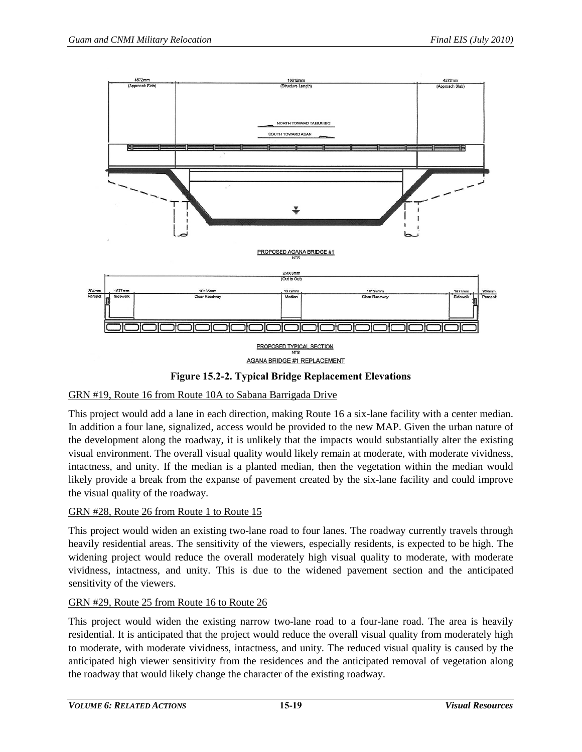

**Figure 15.2-2. Typical Bridge Replacement Elevations**

# <span id="page-18-0"></span>GRN #19, Route 16 from Route 10A to Sabana Barrigada Drive

This project would add a lane in each direction, making Route 16 a six-lane facility with a center median. In addition a four lane, signalized, access would be provided to the new MAP. Given the urban nature of the development along the roadway, it is unlikely that the impacts would substantially alter the existing visual environment. The overall visual quality would likely remain at moderate, with moderate vividness, intactness, and unity. If the median is a planted median, then the vegetation within the median would likely provide a break from the expanse of pavement created by the six-lane facility and could improve the visual quality of the roadway.

# GRN #28, Route 26 from Route 1 to Route 15

This project would widen an existing two-lane road to four lanes. The roadway currently travels through heavily residential areas. The sensitivity of the viewers, especially residents, is expected to be high. The widening project would reduce the overall moderately high visual quality to moderate, with moderate vividness, intactness, and unity. This is due to the widened pavement section and the anticipated sensitivity of the viewers.

## GRN #29, Route 25 from Route 16 to Route 26

This project would widen the existing narrow two-lane road to a four-lane road. The area is heavily residential. It is anticipated that the project would reduce the overall visual quality from moderately high to moderate, with moderate vividness, intactness, and unity. The reduced visual quality is caused by the anticipated high viewer sensitivity from the residences and the anticipated removal of vegetation along the roadway that would likely change the character of the existing roadway.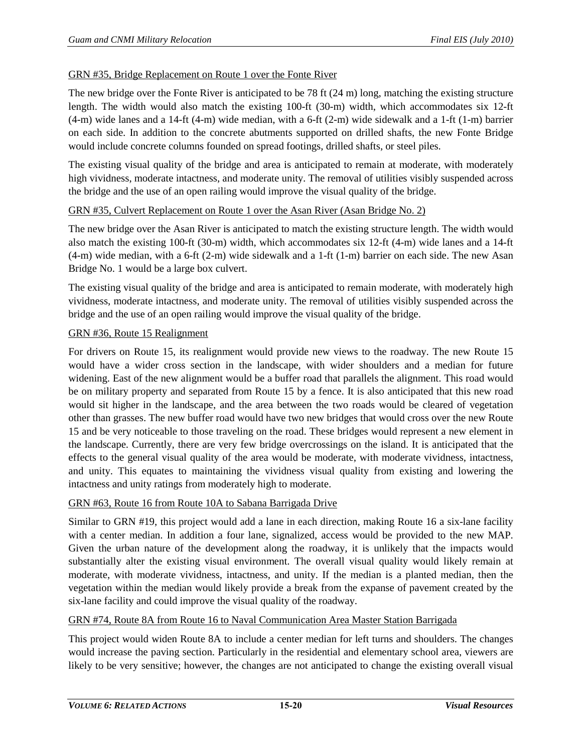#### GRN #35, Bridge Replacement on Route 1 over the Fonte River

The new bridge over the Fonte River is anticipated to be 78 ft (24 m) long, matching the existing structure length. The width would also match the existing 100-ft (30-m) width, which accommodates six 12-ft  $(4-m)$  wide lanes and a 14-ft  $(4-m)$  wide median, with a 6-ft  $(2-m)$  wide sidewalk and a 1-ft  $(1-m)$  barrier on each side. In addition to the concrete abutments supported on drilled shafts, the new Fonte Bridge would include concrete columns founded on spread footings, drilled shafts, or steel piles.

The existing visual quality of the bridge and area is anticipated to remain at moderate, with moderately high vividness, moderate intactness, and moderate unity. The removal of utilities visibly suspended across the bridge and the use of an open railing would improve the visual quality of the bridge.

#### GRN #35, Culvert Replacement on Route 1 over the Asan River (Asan Bridge No. 2)

The new bridge over the Asan River is anticipated to match the existing structure length. The width would also match the existing 100-ft (30-m) width, which accommodates six 12-ft (4-m) wide lanes and a 14-ft (4-m) wide median, with a 6-ft (2-m) wide sidewalk and a 1-ft (1-m) barrier on each side. The new Asan Bridge No. 1 would be a large box culvert.

The existing visual quality of the bridge and area is anticipated to remain moderate, with moderately high vividness, moderate intactness, and moderate unity. The removal of utilities visibly suspended across the bridge and the use of an open railing would improve the visual quality of the bridge.

#### GRN #36, Route 15 Realignment

For drivers on Route 15, its realignment would provide new views to the roadway. The new Route 15 would have a wider cross section in the landscape, with wider shoulders and a median for future widening. East of the new alignment would be a buffer road that parallels the alignment. This road would be on military property and separated from Route 15 by a fence. It is also anticipated that this new road would sit higher in the landscape, and the area between the two roads would be cleared of vegetation other than grasses. The new buffer road would have two new bridges that would cross over the new Route 15 and be very noticeable to those traveling on the road. These bridges would represent a new element in the landscape. Currently, there are very few bridge overcrossings on the island. It is anticipated that the effects to the general visual quality of the area would be moderate, with moderate vividness, intactness, and unity. This equates to maintaining the vividness visual quality from existing and lowering the intactness and unity ratings from moderately high to moderate.

#### GRN #63, Route 16 from Route 10A to Sabana Barrigada Drive

Similar to GRN #19, this project would add a lane in each direction, making Route 16 a six-lane facility with a center median. In addition a four lane, signalized, access would be provided to the new MAP. Given the urban nature of the development along the roadway, it is unlikely that the impacts would substantially alter the existing visual environment. The overall visual quality would likely remain at moderate, with moderate vividness, intactness, and unity. If the median is a planted median, then the vegetation within the median would likely provide a break from the expanse of pavement created by the six-lane facility and could improve the visual quality of the roadway.

#### GRN #74, Route 8A from Route 16 to Naval Communication Area Master Station Barrigada

This project would widen Route 8A to include a center median for left turns and shoulders. The changes would increase the paving section. Particularly in the residential and elementary school area, viewers are likely to be very sensitive; however, the changes are not anticipated to change the existing overall visual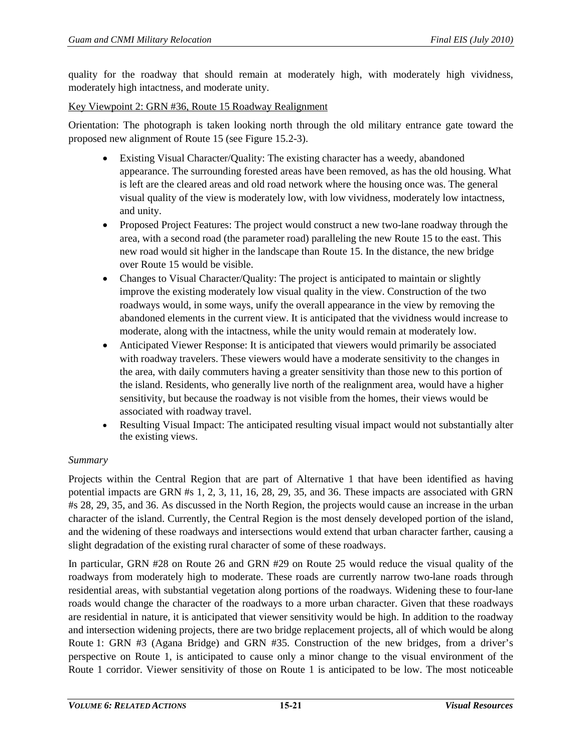quality for the roadway that should remain at moderately high, with moderately high vividness, moderately high intactness, and moderate unity.

Key Viewpoint 2: GRN #36, Route 15 Roadway Realignment

Orientation: The photograph is taken looking north through the old military entrance gate toward the proposed new alignment of Route 15 (see [Figure 15.2-3\)](#page-22-0).

- Existing Visual Character/Quality: The existing character has a weedy, abandoned appearance. The surrounding forested areas have been removed, as has the old housing. What is left are the cleared areas and old road network where the housing once was. The general visual quality of the view is moderately low, with low vividness, moderately low intactness, and unity.
- Proposed Project Features: The project would construct a new two-lane roadway through the area, with a second road (the parameter road) paralleling the new Route 15 to the east. This new road would sit higher in the landscape than Route 15. In the distance, the new bridge over Route 15 would be visible.
- Changes to Visual Character/Quality: The project is anticipated to maintain or slightly improve the existing moderately low visual quality in the view. Construction of the two roadways would, in some ways, unify the overall appearance in the view by removing the abandoned elements in the current view. It is anticipated that the vividness would increase to moderate, along with the intactness, while the unity would remain at moderately low.
- Anticipated Viewer Response: It is anticipated that viewers would primarily be associated with roadway travelers. These viewers would have a moderate sensitivity to the changes in the area, with daily commuters having a greater sensitivity than those new to this portion of the island. Residents, who generally live north of the realignment area, would have a higher sensitivity, but because the roadway is not visible from the homes, their views would be associated with roadway travel.
- Resulting Visual Impact: The anticipated resulting visual impact would not substantially alter the existing views.

## *Summary*

Projects within the Central Region that are part of Alternative 1 that have been identified as having potential impacts are GRN #s 1, 2, 3, 11, 16, 28, 29, 35, and 36. These impacts are associated with GRN #s 28, 29, 35, and 36. As discussed in the North Region, the projects would cause an increase in the urban character of the island. Currently, the Central Region is the most densely developed portion of the island, and the widening of these roadways and intersections would extend that urban character farther, causing a slight degradation of the existing rural character of some of these roadways.

In particular, GRN #28 on Route 26 and GRN #29 on Route 25 would reduce the visual quality of the roadways from moderately high to moderate. These roads are currently narrow two-lane roads through residential areas, with substantial vegetation along portions of the roadways. Widening these to four-lane roads would change the character of the roadways to a more urban character. Given that these roadways are residential in nature, it is anticipated that viewer sensitivity would be high. In addition to the roadway and intersection widening projects, there are two bridge replacement projects, all of which would be along Route 1: GRN #3 (Agana Bridge) and GRN #35. Construction of the new bridges, from a driver's perspective on Route 1, is anticipated to cause only a minor change to the visual environment of the Route 1 corridor. Viewer sensitivity of those on Route 1 is anticipated to be low. The most noticeable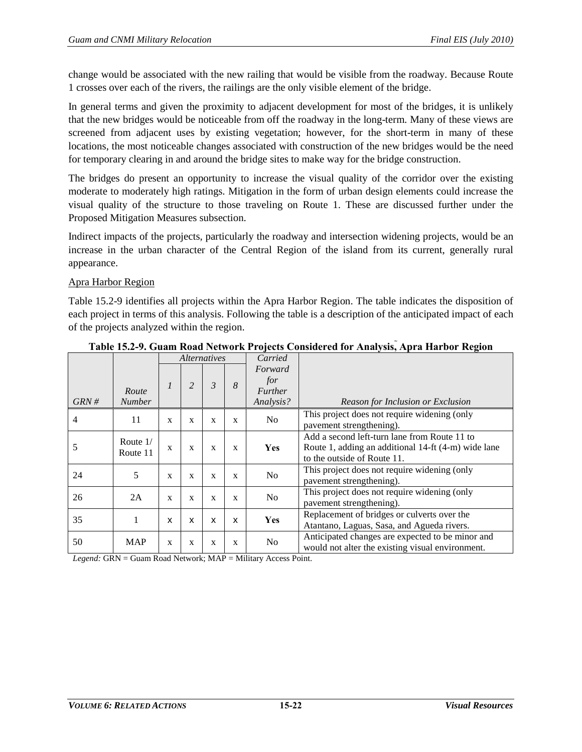change would be associated with the new railing that would be visible from the roadway. Because Route 1 crosses over each of the rivers, the railings are the only visible element of the bridge.

In general terms and given the proximity to adjacent development for most of the bridges, it is unlikely that the new bridges would be noticeable from off the roadway in the long-term. Many of these views are screened from adjacent uses by existing vegetation; however, for the short-term in many of these locations, the most noticeable changes associated with construction of the new bridges would be the need for temporary clearing in and around the bridge sites to make way for the bridge construction.

The bridges do present an opportunity to increase the visual quality of the corridor over the existing moderate to moderately high ratings. Mitigation in the form of urban design elements could increase the visual quality of the structure to those traveling on Route 1. These are discussed further under the Proposed Mitigation Measures subsection.

Indirect impacts of the projects, particularly the roadway and intersection widening projects, would be an increase in the urban character of the Central Region of the island from its current, generally rural appearance.

#### Apra Harbor Region

[Table 15.2-9](#page-21-0) identifies all projects within the Apra Harbor Region. The table indicates the disposition of each project in terms of this analysis. Following the table is a description of the anticipated impact of each of the projects analyzed within the region.

<span id="page-21-0"></span>

|          |                        | <i>Alternatives</i> |                | Carried                   |              |                                                                                                  |                                                                                                                                    |
|----------|------------------------|---------------------|----------------|---------------------------|--------------|--------------------------------------------------------------------------------------------------|------------------------------------------------------------------------------------------------------------------------------------|
| $GRN \#$ | Route<br><b>Number</b> |                     | $\overline{2}$ | 3                         | 8            | Forward<br>for<br><b>Further</b><br>Analysis?                                                    | Reason for Inclusion or Exclusion                                                                                                  |
| 4        | 11                     | X                   | X              | X                         | X            | N <sub>0</sub>                                                                                   | This project does not require widening (only<br>pavement strengthening).                                                           |
| 5        | Route $1/$<br>Route 11 | X                   | $\mathbf{x}$   | $\mathbf{x}$              | $\mathbf{x}$ | <b>Yes</b>                                                                                       | Add a second left-turn lane from Route 11 to<br>Route 1, adding an additional 14-ft (4-m) wide lane<br>to the outside of Route 11. |
| 24       | 5                      | X                   | X              | X                         | X            | This project does not require widening (only<br>No<br>pavement strengthening).                   |                                                                                                                                    |
| 26       | 2A                     | $\mathbf{x}$        | $\mathbf{x}$   | X                         | X            | N <sub>0</sub>                                                                                   | This project does not require widening (only<br>pavement strengthening).                                                           |
| 35       |                        | X                   | X              | $\boldsymbol{\mathsf{x}}$ | X            | Replacement of bridges or culverts over the<br>Yes<br>Atantano, Laguas, Sasa, and Agueda rivers. |                                                                                                                                    |
| 50       | <b>MAP</b>             | X                   | X              | X                         | X            | N <sub>0</sub>                                                                                   | Anticipated changes are expected to be minor and<br>would not alter the existing visual environment.                               |

**Table 15.2-9. Guam Road Network Projects Considered for Analysis, Apra Harbor Region**

*Legend:* GRN = Guam Road Network; MAP = Military Access Point.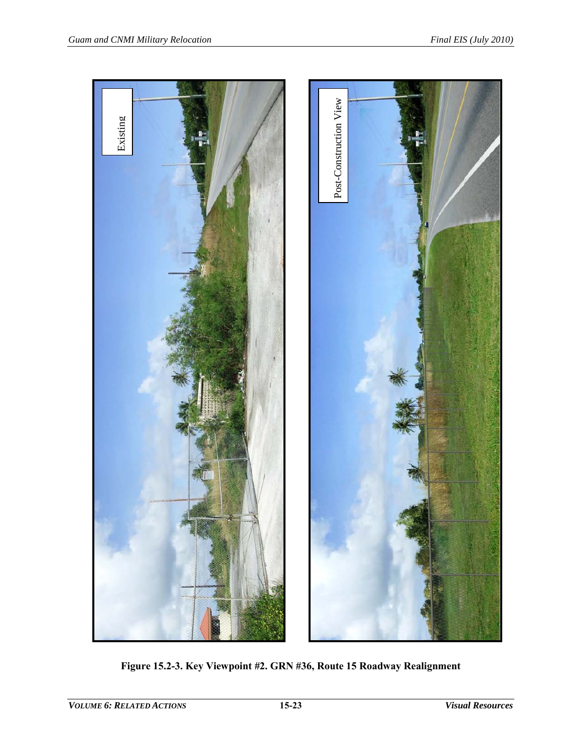<span id="page-22-0"></span>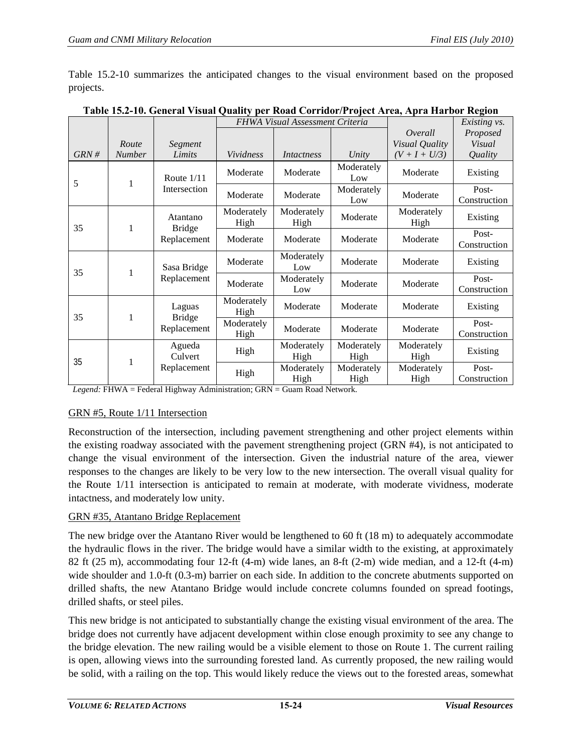[Table 15.2-10](#page-23-0) summarizes the anticipated changes to the visual environment based on the proposed projects.

|      |               |                           | FHWA Visual Assessment Criteria |                    |                    |                       | Existing vs.          |
|------|---------------|---------------------------|---------------------------------|--------------------|--------------------|-----------------------|-----------------------|
|      |               |                           |                                 |                    |                    | Overall               | Proposed              |
|      | Route         | Segment                   |                                 |                    |                    | Visual Quality        | Visual                |
| GRN# | <b>Number</b> | Limits                    | Vividness                       | <i>Intactness</i>  | Unity              | $(V + I + U/3)$       | Quality               |
| 5    | $\mathbf{1}$  | Route $1/11$              | Moderate                        | Moderate           | Moderately<br>Low  | Moderate              | Existing              |
|      |               | Intersection              | Moderate                        | Moderate           | Moderately<br>Low  | Moderate              | Post-<br>Construction |
| 35   | 1             | Atantano<br><b>Bridge</b> | Moderately<br>High              | Moderately<br>High | Moderate           | Moderately<br>High    | Existing              |
|      |               | Replacement               | Moderate                        | Moderate           | Moderate           | Moderate              | Post-<br>Construction |
| 35   | 1             | Sasa Bridge               | Moderate                        | Moderately<br>Low  | Moderate           | Moderate              | Existing              |
|      | Replacement   | Moderate                  | Moderately<br>Low               | Moderate           | Moderate           | Post-<br>Construction |                       |
| 35   | 1             | Laguas<br><b>Bridge</b>   | Moderately<br>High              | Moderate           | Moderate           | Moderate              | Existing              |
|      |               | Replacement               | Moderately<br>High              | Moderate           | Moderate           | Moderate              | Post-<br>Construction |
| 35   |               | Agueda<br>Culvert         | High                            | Moderately<br>High | Moderately<br>High | Moderately<br>High    | Existing              |
| 1    |               | Replacement               | High                            | Moderately<br>High | Moderately<br>High | Moderately<br>High    | Post-<br>Construction |

<span id="page-23-0"></span>**Table 15.2-10. General Visual Quality per Road Corridor/Project Area, Apra Harbor Region**

*Legend:* FHWA = Federal Highway Administration; GRN = Guam Road Network.

## GRN #5, Route 1/11 Intersection

Reconstruction of the intersection, including pavement strengthening and other project elements within the existing roadway associated with the pavement strengthening project (GRN #4), is not anticipated to change the visual environment of the intersection. Given the industrial nature of the area, viewer responses to the changes are likely to be very low to the new intersection. The overall visual quality for the Route 1/11 intersection is anticipated to remain at moderate, with moderate vividness, moderate intactness, and moderately low unity.

## GRN #35, Atantano Bridge Replacement

The new bridge over the Atantano River would be lengthened to 60 ft (18 m) to adequately accommodate the hydraulic flows in the river. The bridge would have a similar width to the existing, at approximately 82 ft (25 m), accommodating four 12-ft (4-m) wide lanes, an 8-ft (2-m) wide median, and a 12-ft (4-m) wide shoulder and 1.0-ft (0.3-m) barrier on each side. In addition to the concrete abutments supported on drilled shafts, the new Atantano Bridge would include concrete columns founded on spread footings, drilled shafts, or steel piles.

This new bridge is not anticipated to substantially change the existing visual environment of the area. The bridge does not currently have adjacent development within close enough proximity to see any change to the bridge elevation. The new railing would be a visible element to those on Route 1. The current railing is open, allowing views into the surrounding forested land. As currently proposed, the new railing would be solid, with a railing on the top. This would likely reduce the views out to the forested areas, somewhat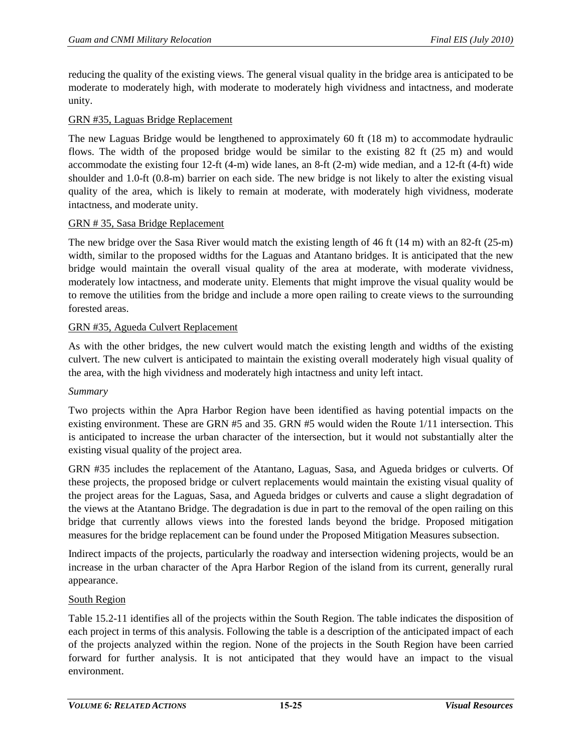reducing the quality of the existing views. The general visual quality in the bridge area is anticipated to be moderate to moderately high, with moderate to moderately high vividness and intactness, and moderate unity.

## GRN #35, Laguas Bridge Replacement

The new Laguas Bridge would be lengthened to approximately 60 ft (18 m) to accommodate hydraulic flows. The width of the proposed bridge would be similar to the existing 82 ft (25 m) and would accommodate the existing four 12-ft (4-m) wide lanes, an 8-ft (2-m) wide median, and a 12-ft (4-ft) wide shoulder and 1.0-ft (0.8-m) barrier on each side. The new bridge is not likely to alter the existing visual quality of the area, which is likely to remain at moderate, with moderately high vividness, moderate intactness, and moderate unity.

## GRN # 35, Sasa Bridge Replacement

The new bridge over the Sasa River would match the existing length of 46 ft (14 m) with an 82-ft (25-m) width, similar to the proposed widths for the Laguas and Atantano bridges. It is anticipated that the new bridge would maintain the overall visual quality of the area at moderate, with moderate vividness, moderately low intactness, and moderate unity. Elements that might improve the visual quality would be to remove the utilities from the bridge and include a more open railing to create views to the surrounding forested areas.

## GRN #35, Agueda Culvert Replacement

As with the other bridges, the new culvert would match the existing length and widths of the existing culvert. The new culvert is anticipated to maintain the existing overall moderately high visual quality of the area, with the high vividness and moderately high intactness and unity left intact.

#### *Summary*

Two projects within the Apra Harbor Region have been identified as having potential impacts on the existing environment. These are GRN #5 and 35. GRN #5 would widen the Route 1/11 intersection. This is anticipated to increase the urban character of the intersection, but it would not substantially alter the existing visual quality of the project area.

GRN #35 includes the replacement of the Atantano, Laguas, Sasa, and Agueda bridges or culverts. Of these projects, the proposed bridge or culvert replacements would maintain the existing visual quality of the project areas for the Laguas, Sasa, and Agueda bridges or culverts and cause a slight degradation of the views at the Atantano Bridge. The degradation is due in part to the removal of the open railing on this bridge that currently allows views into the forested lands beyond the bridge. Proposed mitigation measures for the bridge replacement can be found under the Proposed Mitigation Measures subsection.

Indirect impacts of the projects, particularly the roadway and intersection widening projects, would be an increase in the urban character of the Apra Harbor Region of the island from its current, generally rural appearance.

## South Region

[Table 15.2-11](#page-25-0) identifies all of the projects within the South Region. The table indicates the disposition of each project in terms of this analysis. Following the table is a description of the anticipated impact of each of the projects analyzed within the region. None of the projects in the South Region have been carried forward for further analysis. It is not anticipated that they would have an impact to the visual environment.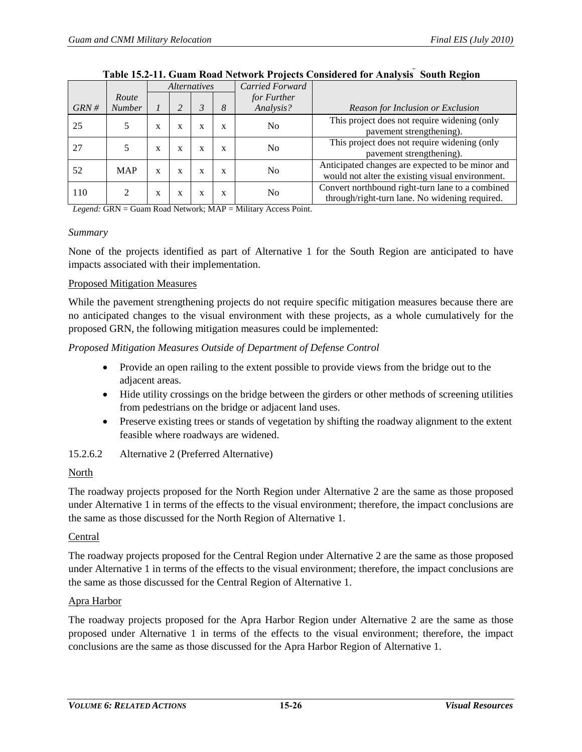<span id="page-25-0"></span>

|      |               | <i>Alternatives</i> |   | Carried Forward | $\overline{\phantom{a}}$ |                |                                                                                                      |
|------|---------------|---------------------|---|-----------------|--------------------------|----------------|------------------------------------------------------------------------------------------------------|
|      | Route         |                     |   |                 |                          | for Further    |                                                                                                      |
| GRN# | <b>Number</b> |                     |   | 3               | 8                        | Analysis?      | Reason for Inclusion or Exclusion                                                                    |
| 25   |               | X                   | X | X               | X                        | N <sub>0</sub> | This project does not require widening (only<br>pavement strengthening).                             |
| 27   | 5             | X                   | X | X               | X                        | No             | This project does not require widening (only<br>pavement strengthening).                             |
| 52   | <b>MAP</b>    | X                   | X | X               | X                        | N <sub>0</sub> | Anticipated changes are expected to be minor and<br>would not alter the existing visual environment. |
| 110  |               | X                   | X | X               | X                        | No             | Convert northbound right-turn lane to a combined<br>through/right-turn lane. No widening required.   |

#### **Table 15.2-11. Guam Road Network Projects Considered for Analysis South Region**

*Legend:* GRN = Guam Road Network; MAP = Military Access Point.

#### *Summary*

None of the projects identified as part of Alternative 1 for the South Region are anticipated to have impacts associated with their implementation.

#### Proposed Mitigation Measures

While the pavement strengthening projects do not require specific mitigation measures because there are no anticipated changes to the visual environment with these projects, as a whole cumulatively for the proposed GRN, the following mitigation measures could be implemented:

#### *Proposed Mitigation Measures Outside of Department of Defense Control*

- Provide an open railing to the extent possible to provide views from the bridge out to the adjacent areas.
- Hide utility crossings on the bridge between the girders or other methods of screening utilities from pedestrians on the bridge or adjacent land uses.
- Preserve existing trees or stands of vegetation by shifting the roadway alignment to the extent feasible where roadways are widened.

#### 15.2.6.2 Alternative 2 (Preferred Alternative)

#### North

The roadway projects proposed for the North Region under Alternative 2 are the same as those proposed under Alternative 1 in terms of the effects to the visual environment; therefore, the impact conclusions are the same as those discussed for the North Region of Alternative 1.

#### Central

The roadway projects proposed for the Central Region under Alternative 2 are the same as those proposed under Alternative 1 in terms of the effects to the visual environment; therefore, the impact conclusions are the same as those discussed for the Central Region of Alternative 1.

#### Apra Harbor

The roadway projects proposed for the Apra Harbor Region under Alternative 2 are the same as those proposed under Alternative 1 in terms of the effects to the visual environment; therefore, the impact conclusions are the same as those discussed for the Apra Harbor Region of Alternative 1.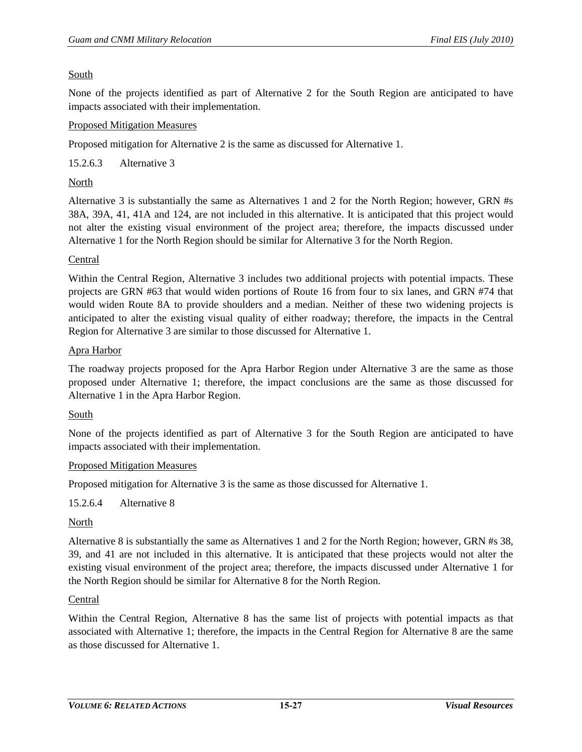## South

None of the projects identified as part of Alternative 2 for the South Region are anticipated to have impacts associated with their implementation.

## Proposed Mitigation Measures

Proposed mitigation for Alternative 2 is the same as discussed for Alternative 1.

15.2.6.3 Alternative 3

## North

Alternative 3 is substantially the same as Alternatives 1 and 2 for the North Region; however, GRN #s 38A, 39A, 41, 41A and 124, are not included in this alternative. It is anticipated that this project would not alter the existing visual environment of the project area; therefore, the impacts discussed under Alternative 1 for the North Region should be similar for Alternative 3 for the North Region.

#### Central

Within the Central Region, Alternative 3 includes two additional projects with potential impacts. These projects are GRN #63 that would widen portions of Route 16 from four to six lanes, and GRN #74 that would widen Route 8A to provide shoulders and a median. Neither of these two widening projects is anticipated to alter the existing visual quality of either roadway; therefore, the impacts in the Central Region for Alternative 3 are similar to those discussed for Alternative 1.

#### Apra Harbor

The roadway projects proposed for the Apra Harbor Region under Alternative 3 are the same as those proposed under Alternative 1; therefore, the impact conclusions are the same as those discussed for Alternative 1 in the Apra Harbor Region.

## South

None of the projects identified as part of Alternative 3 for the South Region are anticipated to have impacts associated with their implementation.

#### Proposed Mitigation Measures

Proposed mitigation for Alternative 3 is the same as those discussed for Alternative 1.

## 15.2.6.4 Alternative 8

## North

Alternative 8 is substantially the same as Alternatives 1 and 2 for the North Region; however, GRN #s 38, 39, and 41 are not included in this alternative. It is anticipated that these projects would not alter the existing visual environment of the project area; therefore, the impacts discussed under Alternative 1 for the North Region should be similar for Alternative 8 for the North Region.

#### Central

Within the Central Region, Alternative 8 has the same list of projects with potential impacts as that associated with Alternative 1; therefore, the impacts in the Central Region for Alternative 8 are the same as those discussed for Alternative 1.